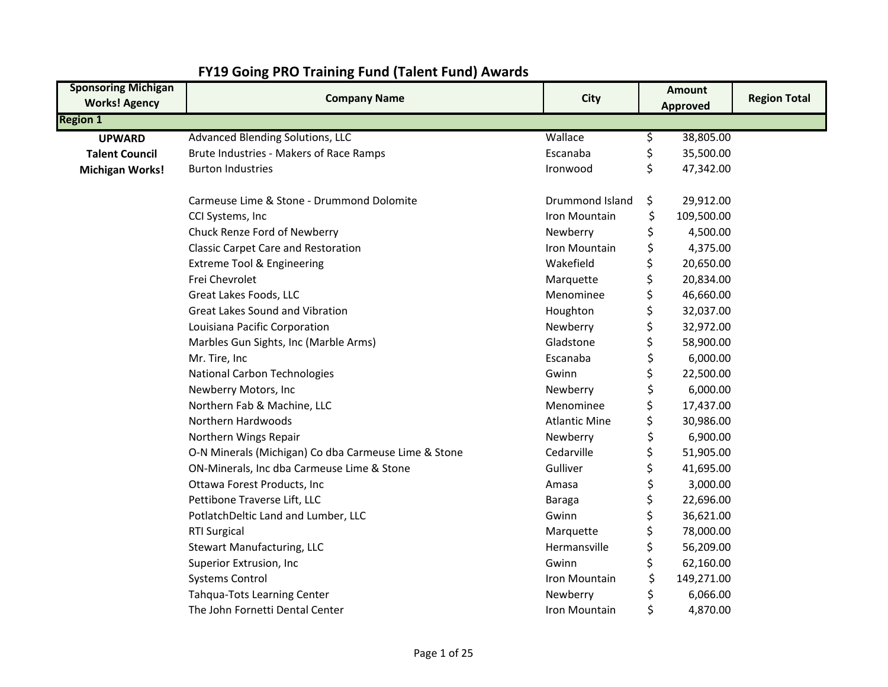| <b>Sponsoring Michigan</b><br><b>Works! Agency</b> | <b>Company Name</b>                                  | <b>City</b>          |    | <b>Amount</b> | <b>Region Total</b> |
|----------------------------------------------------|------------------------------------------------------|----------------------|----|---------------|---------------------|
| <b>Region 1</b>                                    |                                                      |                      |    | Approved      |                     |
| <b>UPWARD</b>                                      | Advanced Blending Solutions, LLC                     | Wallace              | \$ | 38,805.00     |                     |
| <b>Talent Council</b>                              | Brute Industries - Makers of Race Ramps              | Escanaba             | \$ | 35,500.00     |                     |
| <b>Michigan Works!</b>                             | <b>Burton Industries</b>                             | Ironwood             | \$ | 47,342.00     |                     |
|                                                    |                                                      |                      |    |               |                     |
|                                                    | Carmeuse Lime & Stone - Drummond Dolomite            | Drummond Island      | \$ | 29,912.00     |                     |
|                                                    | CCI Systems, Inc                                     | Iron Mountain        | \$ | 109,500.00    |                     |
|                                                    | Chuck Renze Ford of Newberry                         | Newberry             |    | 4,500.00      |                     |
|                                                    | <b>Classic Carpet Care and Restoration</b>           | Iron Mountain        |    | 4,375.00      |                     |
|                                                    | <b>Extreme Tool &amp; Engineering</b>                | Wakefield            | Ś  | 20,650.00     |                     |
|                                                    | Frei Chevrolet                                       | Marquette            | \$ | 20,834.00     |                     |
|                                                    | Great Lakes Foods, LLC                               | Menominee            | \$ | 46,660.00     |                     |
|                                                    | Great Lakes Sound and Vibration                      | Houghton             | \$ | 32,037.00     |                     |
|                                                    | Louisiana Pacific Corporation                        | Newberry             | \$ | 32,972.00     |                     |
|                                                    | Marbles Gun Sights, Inc (Marble Arms)                | Gladstone            | \$ | 58,900.00     |                     |
|                                                    | Mr. Tire, Inc                                        | Escanaba             |    | 6,000.00      |                     |
|                                                    | National Carbon Technologies                         | Gwinn                | \$ | 22,500.00     |                     |
|                                                    | Newberry Motors, Inc                                 | Newberry             | \$ | 6,000.00      |                     |
|                                                    | Northern Fab & Machine, LLC                          | Menominee            | \$ | 17,437.00     |                     |
|                                                    | Northern Hardwoods                                   | <b>Atlantic Mine</b> | \$ | 30,986.00     |                     |
|                                                    | Northern Wings Repair                                | Newberry             |    | 6,900.00      |                     |
|                                                    | O-N Minerals (Michigan) Co dba Carmeuse Lime & Stone | Cedarville           |    | 51,905.00     |                     |
|                                                    | ON-Minerals, Inc dba Carmeuse Lime & Stone           | Gulliver             | \$ | 41,695.00     |                     |
|                                                    | Ottawa Forest Products, Inc                          | Amasa                |    | 3,000.00      |                     |
|                                                    | Pettibone Traverse Lift, LLC                         | Baraga               | \$ | 22,696.00     |                     |
|                                                    | PotlatchDeltic Land and Lumber, LLC                  | Gwinn                |    | 36,621.00     |                     |
|                                                    | <b>RTI Surgical</b>                                  | Marquette            |    | 78,000.00     |                     |
|                                                    | Stewart Manufacturing, LLC                           | Hermansville         | \$ | 56,209.00     |                     |
|                                                    | Superior Extrusion, Inc                              | Gwinn                |    | 62,160.00     |                     |
|                                                    | <b>Systems Control</b>                               | Iron Mountain        |    | 149,271.00    |                     |
|                                                    | Tahqua-Tots Learning Center                          | Newberry             |    | 6,066.00      |                     |
|                                                    | The John Fornetti Dental Center                      | Iron Mountain        | \$ | 4,870.00      |                     |

## **FY19 Going PRO Training Fund (Talent Fund) Awards**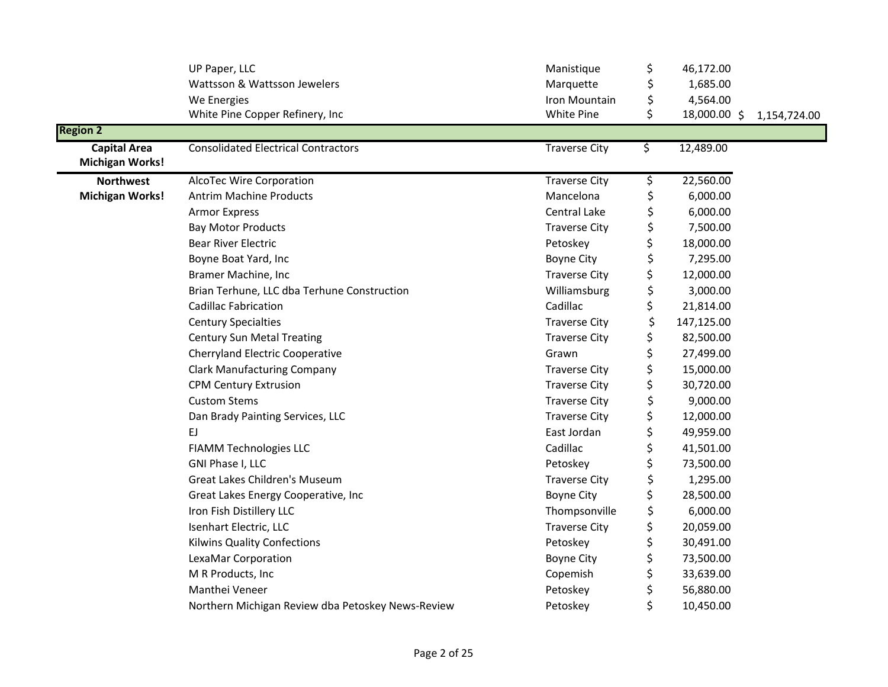|                                               | UP Paper, LLC                                     | Manistique           | \$                       | 46,172.00    |              |
|-----------------------------------------------|---------------------------------------------------|----------------------|--------------------------|--------------|--------------|
|                                               | Wattsson & Wattsson Jewelers                      | Marquette            | \$                       | 1,685.00     |              |
|                                               | We Energies                                       | Iron Mountain        | \$                       | 4,564.00     |              |
|                                               | White Pine Copper Refinery, Inc                   | White Pine           | \$                       | 18,000.00 \$ | 1,154,724.00 |
| <b>Region 2</b>                               |                                                   |                      |                          |              |              |
| <b>Capital Area</b><br><b>Michigan Works!</b> | <b>Consolidated Electrical Contractors</b>        | <b>Traverse City</b> | \$                       | 12,489.00    |              |
| <b>Northwest</b>                              | AlcoTec Wire Corporation                          | <b>Traverse City</b> | $\overline{\mathcal{L}}$ | 22,560.00    |              |
| <b>Michigan Works!</b>                        | <b>Antrim Machine Products</b>                    | Mancelona            | \$                       | 6,000.00     |              |
|                                               | <b>Armor Express</b>                              | Central Lake         | \$                       | 6,000.00     |              |
|                                               | <b>Bay Motor Products</b>                         | <b>Traverse City</b> | \$                       | 7,500.00     |              |
|                                               | <b>Bear River Electric</b>                        | Petoskey             | \$                       | 18,000.00    |              |
|                                               | Boyne Boat Yard, Inc                              | <b>Boyne City</b>    | \$                       | 7,295.00     |              |
|                                               | Bramer Machine, Inc                               | <b>Traverse City</b> | \$                       | 12,000.00    |              |
|                                               | Brian Terhune, LLC dba Terhune Construction       | Williamsburg         | \$                       | 3,000.00     |              |
|                                               | <b>Cadillac Fabrication</b>                       | Cadillac             | \$                       | 21,814.00    |              |
|                                               | <b>Century Specialties</b>                        | <b>Traverse City</b> | \$                       | 147,125.00   |              |
|                                               | <b>Century Sun Metal Treating</b>                 | <b>Traverse City</b> | \$                       | 82,500.00    |              |
|                                               | <b>Cherryland Electric Cooperative</b>            | Grawn                | \$                       | 27,499.00    |              |
|                                               | <b>Clark Manufacturing Company</b>                | <b>Traverse City</b> | \$                       | 15,000.00    |              |
|                                               | <b>CPM Century Extrusion</b>                      | <b>Traverse City</b> | \$                       | 30,720.00    |              |
|                                               | <b>Custom Stems</b>                               | <b>Traverse City</b> | \$                       | 9,000.00     |              |
|                                               | Dan Brady Painting Services, LLC                  | <b>Traverse City</b> | \$                       | 12,000.00    |              |
|                                               | EJ                                                | East Jordan          | \$                       | 49,959.00    |              |
|                                               | <b>FIAMM Technologies LLC</b>                     | Cadillac             | \$                       | 41,501.00    |              |
|                                               | GNI Phase I, LLC                                  | Petoskey             |                          | 73,500.00    |              |
|                                               | Great Lakes Children's Museum                     | <b>Traverse City</b> | \$                       | 1,295.00     |              |
|                                               | Great Lakes Energy Cooperative, Inc.              | <b>Boyne City</b>    | \$                       | 28,500.00    |              |
|                                               | Iron Fish Distillery LLC                          | Thompsonville        | \$                       | 6,000.00     |              |
|                                               | Isenhart Electric, LLC                            | <b>Traverse City</b> | \$                       | 20,059.00    |              |
|                                               | Kilwins Quality Confections                       | Petoskey             | \$                       | 30,491.00    |              |
|                                               | LexaMar Corporation                               | <b>Boyne City</b>    | \$                       | 73,500.00    |              |
|                                               | M R Products, Inc                                 | Copemish             | \$                       | 33,639.00    |              |
|                                               | Manthei Veneer                                    | Petoskey             | \$                       | 56,880.00    |              |
|                                               | Northern Michigan Review dba Petoskey News-Review | Petoskey             | \$                       | 10,450.00    |              |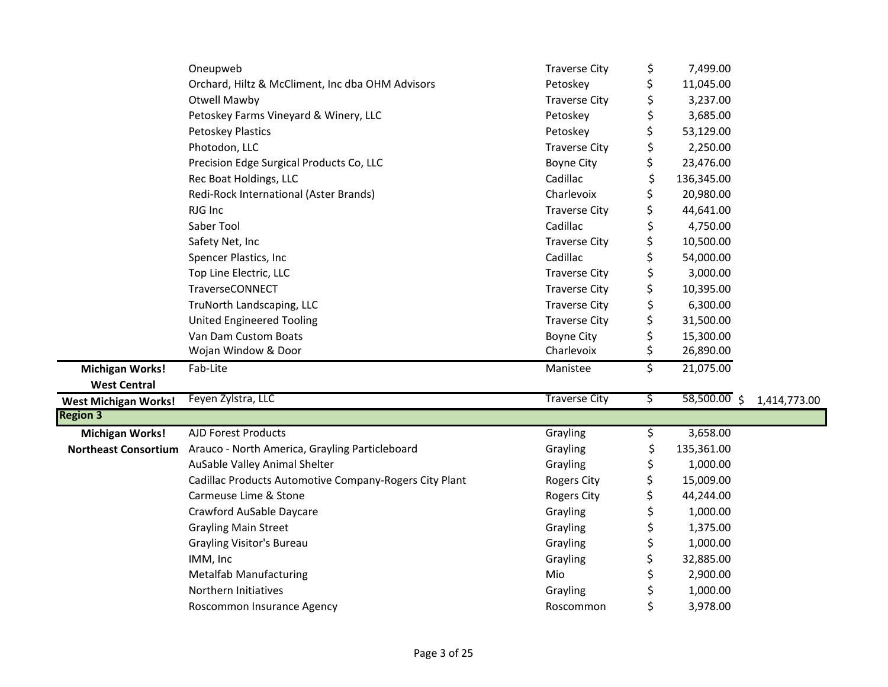|                             | Oneupweb                                               | <b>Traverse City</b> | \$<br>7,499.00     |              |
|-----------------------------|--------------------------------------------------------|----------------------|--------------------|--------------|
|                             | Orchard, Hiltz & McCliment, Inc dba OHM Advisors       | Petoskey             | \$<br>11,045.00    |              |
|                             | Otwell Mawby                                           | <b>Traverse City</b> | \$<br>3,237.00     |              |
|                             | Petoskey Farms Vineyard & Winery, LLC                  | Petoskey             | \$<br>3,685.00     |              |
|                             | Petoskey Plastics                                      | Petoskey             | \$<br>53,129.00    |              |
|                             | Photodon, LLC                                          | <b>Traverse City</b> | \$<br>2,250.00     |              |
|                             | Precision Edge Surgical Products Co, LLC               | <b>Boyne City</b>    | \$<br>23,476.00    |              |
|                             | Rec Boat Holdings, LLC                                 | Cadillac             | \$<br>136,345.00   |              |
|                             | Redi-Rock International (Aster Brands)                 | Charlevoix           | \$<br>20,980.00    |              |
|                             | RJG Inc                                                | <b>Traverse City</b> | \$<br>44,641.00    |              |
|                             | Saber Tool                                             | Cadillac             | \$<br>4,750.00     |              |
|                             | Safety Net, Inc                                        | <b>Traverse City</b> | \$<br>10,500.00    |              |
|                             | Spencer Plastics, Inc                                  | Cadillac             | \$<br>54,000.00    |              |
|                             | Top Line Electric, LLC                                 | <b>Traverse City</b> | \$<br>3,000.00     |              |
|                             | TraverseCONNECT                                        | <b>Traverse City</b> | \$<br>10,395.00    |              |
|                             | TruNorth Landscaping, LLC                              | <b>Traverse City</b> | \$<br>6,300.00     |              |
|                             | United Engineered Tooling                              | <b>Traverse City</b> | \$<br>31,500.00    |              |
|                             | Van Dam Custom Boats                                   | <b>Boyne City</b>    | \$<br>15,300.00    |              |
|                             | Wojan Window & Door                                    | Charlevoix           | \$<br>26,890.00    |              |
| <b>Michigan Works!</b>      | Fab-Lite                                               | Manistee             | \$<br>21,075.00    |              |
| <b>West Central</b>         |                                                        |                      |                    |              |
| <b>West Michigan Works!</b> | Feyen Zylstra, LLC                                     | <b>Traverse City</b> | \$<br>58,500.00 \$ | 1,414,773.00 |
| <b>Region 3</b>             |                                                        |                      |                    |              |
| <b>Michigan Works!</b>      | <b>AJD Forest Products</b>                             | Grayling             | \$<br>3,658.00     |              |
| <b>Northeast Consortium</b> | Arauco - North America, Grayling Particleboard         | Grayling             | \$<br>135,361.00   |              |
|                             | AuSable Valley Animal Shelter                          | Grayling             | \$<br>1,000.00     |              |
|                             | Cadillac Products Automotive Company-Rogers City Plant | <b>Rogers City</b>   | \$<br>15,009.00    |              |
|                             | Carmeuse Lime & Stone                                  | <b>Rogers City</b>   | \$<br>44,244.00    |              |
|                             | Crawford AuSable Daycare                               | Grayling             | \$<br>1,000.00     |              |
|                             | <b>Grayling Main Street</b>                            | Grayling             | \$<br>1,375.00     |              |
|                             | <b>Grayling Visitor's Bureau</b>                       | Grayling             | \$<br>1,000.00     |              |
|                             | IMM, Inc                                               | Grayling             | \$<br>32,885.00    |              |
|                             | <b>Metalfab Manufacturing</b>                          | Mio                  | \$<br>2,900.00     |              |
|                             | Northern Initiatives                                   | Grayling             | \$<br>1,000.00     |              |
|                             | Roscommon Insurance Agency                             | Roscommon            | \$<br>3,978.00     |              |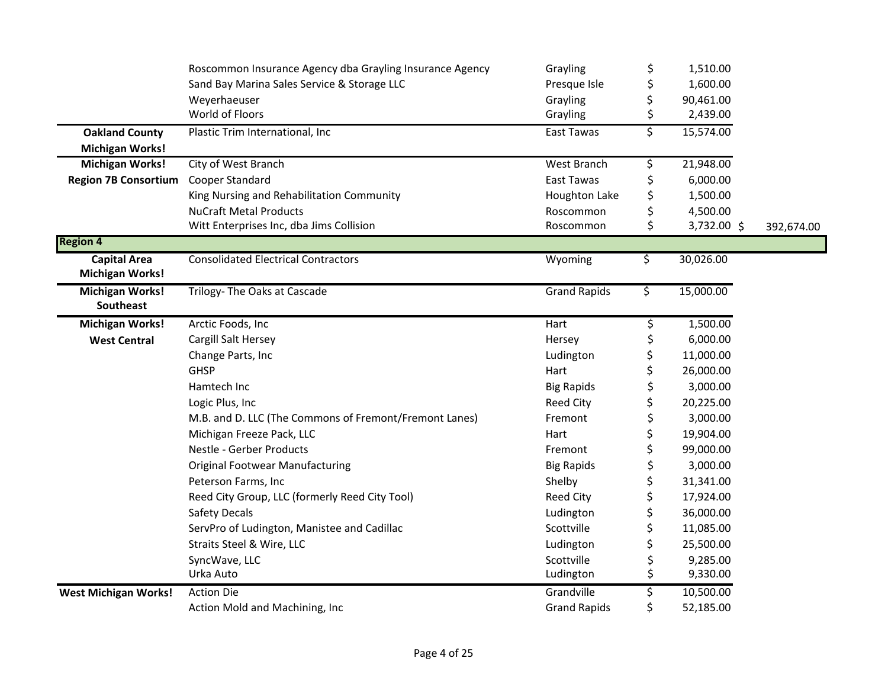|                                      | Roscommon Insurance Agency dba Grayling Insurance Agency | Grayling            | \$<br>1,510.00    |            |
|--------------------------------------|----------------------------------------------------------|---------------------|-------------------|------------|
|                                      | Sand Bay Marina Sales Service & Storage LLC              | Presque Isle        | \$<br>1,600.00    |            |
|                                      | Weyerhaeuser                                             | Grayling            | \$<br>90,461.00   |            |
|                                      | World of Floors                                          | Grayling            | \$<br>2,439.00    |            |
| <b>Oakland County</b>                | Plastic Trim International, Inc                          | East Tawas          | \$<br>15,574.00   |            |
| <b>Michigan Works!</b>               |                                                          |                     |                   |            |
| <b>Michigan Works!</b>               | City of West Branch                                      | West Branch         | \$<br>21,948.00   |            |
| Region 7B Consortium Cooper Standard |                                                          | East Tawas          | \$<br>6,000.00    |            |
|                                      | King Nursing and Rehabilitation Community                | Houghton Lake       | \$<br>1,500.00    |            |
|                                      | <b>NuCraft Metal Products</b>                            | Roscommon           | \$<br>4,500.00    |            |
|                                      | Witt Enterprises Inc, dba Jims Collision                 | Roscommon           | \$<br>3,732.00 \$ | 392,674.00 |
| <b>Region 4</b>                      |                                                          |                     |                   |            |
| <b>Capital Area</b>                  | <b>Consolidated Electrical Contractors</b>               | Wyoming             | \$<br>30,026.00   |            |
| <b>Michigan Works!</b>               |                                                          |                     |                   |            |
| <b>Michigan Works!</b>               | Trilogy- The Oaks at Cascade                             | <b>Grand Rapids</b> | \$<br>15,000.00   |            |
| Southeast                            |                                                          |                     |                   |            |
| <b>Michigan Works!</b>               | Arctic Foods, Inc                                        | Hart                | \$<br>1,500.00    |            |
| <b>West Central</b>                  | Cargill Salt Hersey                                      | Hersey              | \$<br>6,000.00    |            |
|                                      | Change Parts, Inc                                        | Ludington           | \$<br>11,000.00   |            |
|                                      | <b>GHSP</b>                                              | Hart                | \$<br>26,000.00   |            |
|                                      | Hamtech Inc                                              | <b>Big Rapids</b>   | \$<br>3,000.00    |            |
|                                      | Logic Plus, Inc                                          | Reed City           | \$<br>20,225.00   |            |
|                                      | M.B. and D. LLC (The Commons of Fremont/Fremont Lanes)   | Fremont             | \$<br>3,000.00    |            |
|                                      | Michigan Freeze Pack, LLC                                | Hart                | \$<br>19,904.00   |            |
|                                      | Nestle - Gerber Products                                 | Fremont             | \$<br>99,000.00   |            |
|                                      | <b>Original Footwear Manufacturing</b>                   | <b>Big Rapids</b>   | \$<br>3,000.00    |            |
|                                      | Peterson Farms, Inc                                      | Shelby              | \$<br>31,341.00   |            |
|                                      | Reed City Group, LLC (formerly Reed City Tool)           | Reed City           | \$<br>17,924.00   |            |
|                                      | Safety Decals                                            | Ludington           | \$<br>36,000.00   |            |
|                                      | ServPro of Ludington, Manistee and Cadillac              | Scottville          | \$<br>11,085.00   |            |
|                                      | Straits Steel & Wire, LLC                                | Ludington           | \$<br>25,500.00   |            |
|                                      | SyncWave, LLC                                            | Scottville          | \$<br>9,285.00    |            |
|                                      | Urka Auto                                                | Ludington           | \$<br>9,330.00    |            |
| <b>West Michigan Works!</b>          | <b>Action Die</b>                                        | Grandville          | \$<br>10,500.00   |            |
|                                      | Action Mold and Machining, Inc                           | <b>Grand Rapids</b> | \$<br>52,185.00   |            |
|                                      |                                                          |                     |                   |            |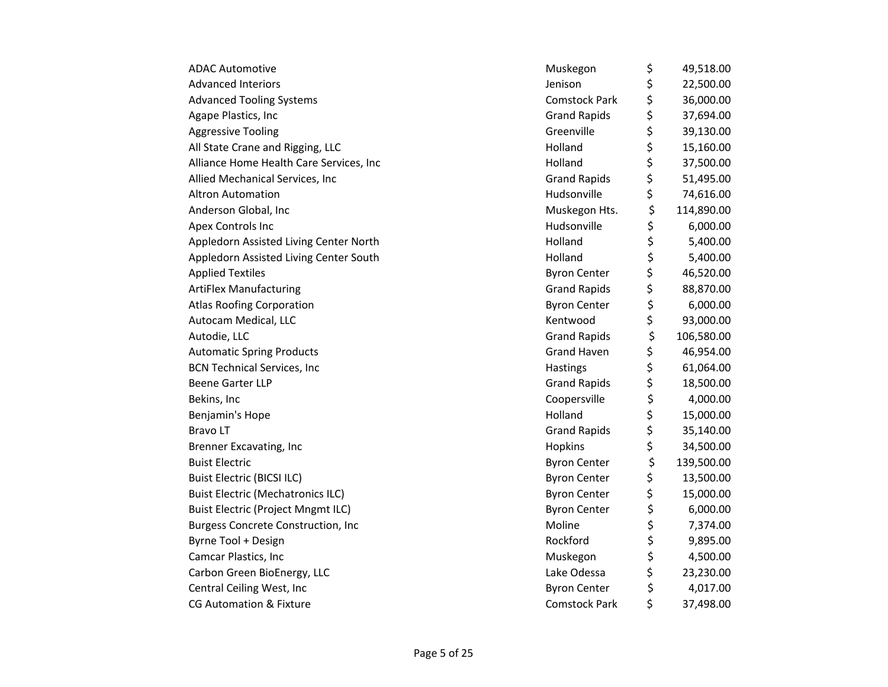| <b>ADAC Automotive</b>                    | Muskegon             | \$<br>49,518.00  |
|-------------------------------------------|----------------------|------------------|
| <b>Advanced Interiors</b>                 | Jenison              | \$<br>22,500.00  |
| <b>Advanced Tooling Systems</b>           | <b>Comstock Park</b> | \$<br>36,000.00  |
| Agape Plastics, Inc                       | <b>Grand Rapids</b>  | \$<br>37,694.00  |
| <b>Aggressive Tooling</b>                 | Greenville           | \$<br>39,130.00  |
| All State Crane and Rigging, LLC          | Holland              | \$<br>15,160.00  |
| Alliance Home Health Care Services, Inc   | Holland              | \$<br>37,500.00  |
| Allied Mechanical Services, Inc           | <b>Grand Rapids</b>  | \$<br>51,495.00  |
| <b>Altron Automation</b>                  | Hudsonville          | \$<br>74,616.00  |
| Anderson Global, Inc                      | Muskegon Hts.        | \$<br>114,890.00 |
| Apex Controls Inc                         | Hudsonville          | \$<br>6,000.00   |
| Appledorn Assisted Living Center North    | Holland              | \$<br>5,400.00   |
| Appledorn Assisted Living Center South    | Holland              | \$<br>5,400.00   |
| <b>Applied Textiles</b>                   | <b>Byron Center</b>  | \$<br>46,520.00  |
| <b>ArtiFlex Manufacturing</b>             | <b>Grand Rapids</b>  | \$<br>88,870.00  |
| <b>Atlas Roofing Corporation</b>          | <b>Byron Center</b>  | \$<br>6,000.00   |
| Autocam Medical, LLC                      | Kentwood             | \$<br>93,000.00  |
| Autodie, LLC                              | <b>Grand Rapids</b>  | \$<br>106,580.00 |
| <b>Automatic Spring Products</b>          | <b>Grand Haven</b>   | \$<br>46,954.00  |
| <b>BCN Technical Services, Inc</b>        | Hastings             | \$<br>61,064.00  |
| <b>Beene Garter LLP</b>                   | <b>Grand Rapids</b>  | \$<br>18,500.00  |
| Bekins, Inc                               | Coopersville         | \$<br>4,000.00   |
| Benjamin's Hope                           | Holland              | \$<br>15,000.00  |
| <b>BravoLT</b>                            | <b>Grand Rapids</b>  | \$<br>35,140.00  |
| <b>Brenner Excavating, Inc</b>            | Hopkins              | \$<br>34,500.00  |
| <b>Buist Electric</b>                     | <b>Byron Center</b>  | \$<br>139,500.00 |
| <b>Buist Electric (BICSI ILC)</b>         | <b>Byron Center</b>  | \$<br>13,500.00  |
| <b>Buist Electric (Mechatronics ILC)</b>  | <b>Byron Center</b>  | \$<br>15,000.00  |
| <b>Buist Electric (Project Mngmt ILC)</b> | <b>Byron Center</b>  | \$<br>6,000.00   |
| <b>Burgess Concrete Construction, Inc</b> | Moline               | \$<br>7,374.00   |
| Byrne Tool + Design                       | Rockford             | \$<br>9,895.00   |
| Camcar Plastics, Inc                      | Muskegon             | \$<br>4,500.00   |
| Carbon Green BioEnergy, LLC               | Lake Odessa          | \$<br>23,230.00  |
| Central Ceiling West, Inc                 | <b>Byron Center</b>  | \$<br>4,017.00   |
| <b>CG Automation &amp; Fixture</b>        | <b>Comstock Park</b> | \$<br>37,498.00  |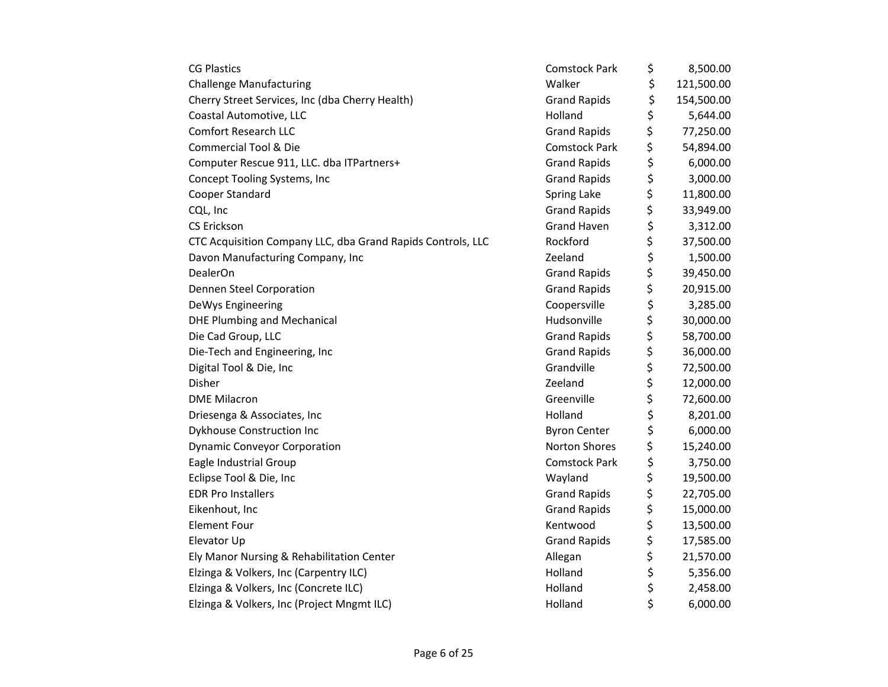| <b>CG Plastics</b>                                          | <b>Comstock Park</b> | \$<br>8,500.00   |
|-------------------------------------------------------------|----------------------|------------------|
| <b>Challenge Manufacturing</b>                              | Walker               | \$<br>121,500.00 |
| Cherry Street Services, Inc (dba Cherry Health)             | <b>Grand Rapids</b>  | \$<br>154,500.00 |
| Coastal Automotive, LLC                                     | Holland              | \$<br>5,644.00   |
| <b>Comfort Research LLC</b>                                 | <b>Grand Rapids</b>  | \$<br>77,250.00  |
| <b>Commercial Tool &amp; Die</b>                            | <b>Comstock Park</b> | \$<br>54,894.00  |
| Computer Rescue 911, LLC. dba ITPartners+                   | <b>Grand Rapids</b>  | \$<br>6,000.00   |
| Concept Tooling Systems, Inc                                | <b>Grand Rapids</b>  | \$<br>3,000.00   |
| Cooper Standard                                             | Spring Lake          | \$<br>11,800.00  |
| CQL, Inc                                                    | <b>Grand Rapids</b>  | \$<br>33,949.00  |
| <b>CS Erickson</b>                                          | <b>Grand Haven</b>   | \$<br>3,312.00   |
| CTC Acquisition Company LLC, dba Grand Rapids Controls, LLC | Rockford             | \$<br>37,500.00  |
| Davon Manufacturing Company, Inc                            | Zeeland              | \$<br>1,500.00   |
| DealerOn                                                    | <b>Grand Rapids</b>  | \$<br>39,450.00  |
| Dennen Steel Corporation                                    | <b>Grand Rapids</b>  | \$<br>20,915.00  |
| DeWys Engineering                                           | Coopersville         | \$<br>3,285.00   |
| <b>DHE Plumbing and Mechanical</b>                          | Hudsonville          | \$<br>30,000.00  |
| Die Cad Group, LLC                                          | <b>Grand Rapids</b>  | \$<br>58,700.00  |
| Die-Tech and Engineering, Inc                               | <b>Grand Rapids</b>  | \$<br>36,000.00  |
| Digital Tool & Die, Inc                                     | Grandville           | \$<br>72,500.00  |
| Disher                                                      | Zeeland              | \$<br>12,000.00  |
| <b>DME Milacron</b>                                         | Greenville           | \$<br>72,600.00  |
| Driesenga & Associates, Inc                                 | Holland              | \$<br>8,201.00   |
| Dykhouse Construction Inc                                   | <b>Byron Center</b>  | \$<br>6,000.00   |
| <b>Dynamic Conveyor Corporation</b>                         | Norton Shores        | \$<br>15,240.00  |
| Eagle Industrial Group                                      | <b>Comstock Park</b> | \$<br>3,750.00   |
| Eclipse Tool & Die, Inc                                     | Wayland              | \$<br>19,500.00  |
| <b>EDR Pro Installers</b>                                   | <b>Grand Rapids</b>  | \$<br>22,705.00  |
| Eikenhout, Inc                                              | <b>Grand Rapids</b>  | \$<br>15,000.00  |
| <b>Element Four</b>                                         | Kentwood             | \$<br>13,500.00  |
| Elevator Up                                                 | <b>Grand Rapids</b>  | \$<br>17,585.00  |
| Ely Manor Nursing & Rehabilitation Center                   | Allegan              | \$<br>21,570.00  |
| Elzinga & Volkers, Inc (Carpentry ILC)                      | Holland              | \$<br>5,356.00   |
| Elzinga & Volkers, Inc (Concrete ILC)                       | Holland              | \$<br>2,458.00   |
| Elzinga & Volkers, Inc (Project Mngmt ILC)                  | Holland              | \$<br>6,000.00   |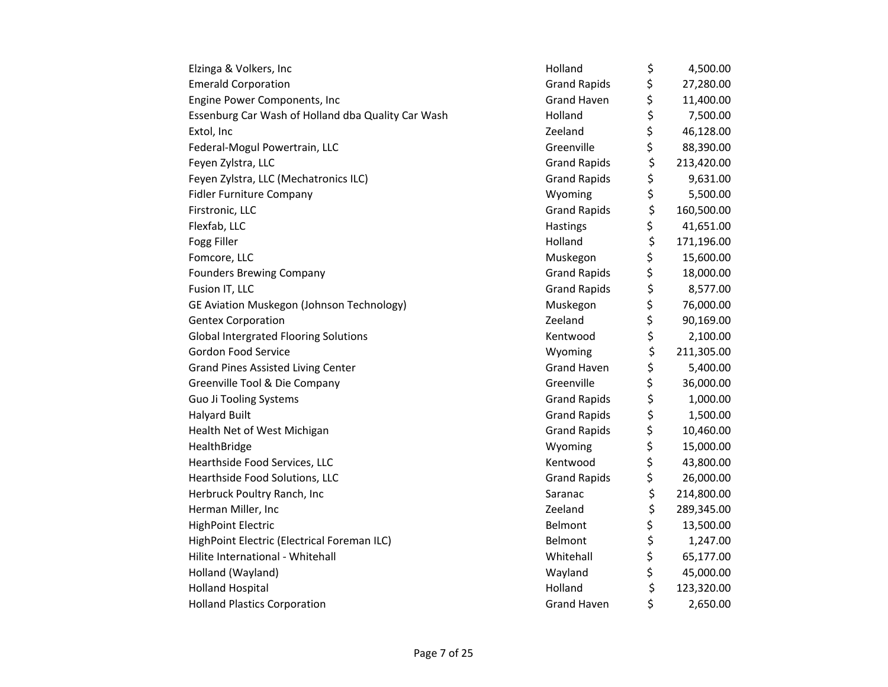| Elzinga & Volkers, Inc                             | Holland             | \$<br>4,500.00   |
|----------------------------------------------------|---------------------|------------------|
| <b>Emerald Corporation</b>                         | <b>Grand Rapids</b> | \$<br>27,280.00  |
| Engine Power Components, Inc                       | <b>Grand Haven</b>  | \$<br>11,400.00  |
| Essenburg Car Wash of Holland dba Quality Car Wash | Holland             | \$<br>7,500.00   |
| Extol, Inc                                         | Zeeland             | \$<br>46,128.00  |
| Federal-Mogul Powertrain, LLC                      | Greenville          | \$<br>88,390.00  |
| Feyen Zylstra, LLC                                 | <b>Grand Rapids</b> | \$<br>213,420.00 |
| Feyen Zylstra, LLC (Mechatronics ILC)              | <b>Grand Rapids</b> | \$<br>9,631.00   |
| <b>Fidler Furniture Company</b>                    | Wyoming             | \$<br>5,500.00   |
| Firstronic, LLC                                    | <b>Grand Rapids</b> | \$<br>160,500.00 |
| Flexfab, LLC                                       | Hastings            | \$<br>41,651.00  |
| Fogg Filler                                        | Holland             | \$<br>171,196.00 |
| Fomcore, LLC                                       | Muskegon            | \$<br>15,600.00  |
| <b>Founders Brewing Company</b>                    | <b>Grand Rapids</b> | \$<br>18,000.00  |
| Fusion IT, LLC                                     | <b>Grand Rapids</b> | \$<br>8,577.00   |
| GE Aviation Muskegon (Johnson Technology)          | Muskegon            | \$<br>76,000.00  |
| <b>Gentex Corporation</b>                          | Zeeland             | \$<br>90,169.00  |
| <b>Global Intergrated Flooring Solutions</b>       | Kentwood            | \$<br>2,100.00   |
| Gordon Food Service                                | Wyoming             | \$<br>211,305.00 |
| <b>Grand Pines Assisted Living Center</b>          | <b>Grand Haven</b>  | \$<br>5,400.00   |
| Greenville Tool & Die Company                      | Greenville          | \$<br>36,000.00  |
| Guo Ji Tooling Systems                             | <b>Grand Rapids</b> | \$<br>1,000.00   |
| <b>Halyard Built</b>                               | <b>Grand Rapids</b> | \$<br>1,500.00   |
| Health Net of West Michigan                        | <b>Grand Rapids</b> | \$<br>10,460.00  |
| HealthBridge                                       | Wyoming             | \$<br>15,000.00  |
| Hearthside Food Services, LLC                      | Kentwood            | \$<br>43,800.00  |
| Hearthside Food Solutions, LLC                     | <b>Grand Rapids</b> | \$<br>26,000.00  |
| Herbruck Poultry Ranch, Inc                        | Saranac             | \$<br>214,800.00 |
| Herman Miller, Inc                                 | Zeeland             | \$<br>289,345.00 |
| <b>HighPoint Electric</b>                          | Belmont             | \$<br>13,500.00  |
| HighPoint Electric (Electrical Foreman ILC)        | Belmont             | \$<br>1,247.00   |
| Hilite International - Whitehall                   | Whitehall           | \$<br>65,177.00  |
| Holland (Wayland)                                  | Wayland             | \$<br>45,000.00  |
| <b>Holland Hospital</b>                            | Holland             | \$<br>123,320.00 |
| <b>Holland Plastics Corporation</b>                | <b>Grand Haven</b>  | \$<br>2,650.00   |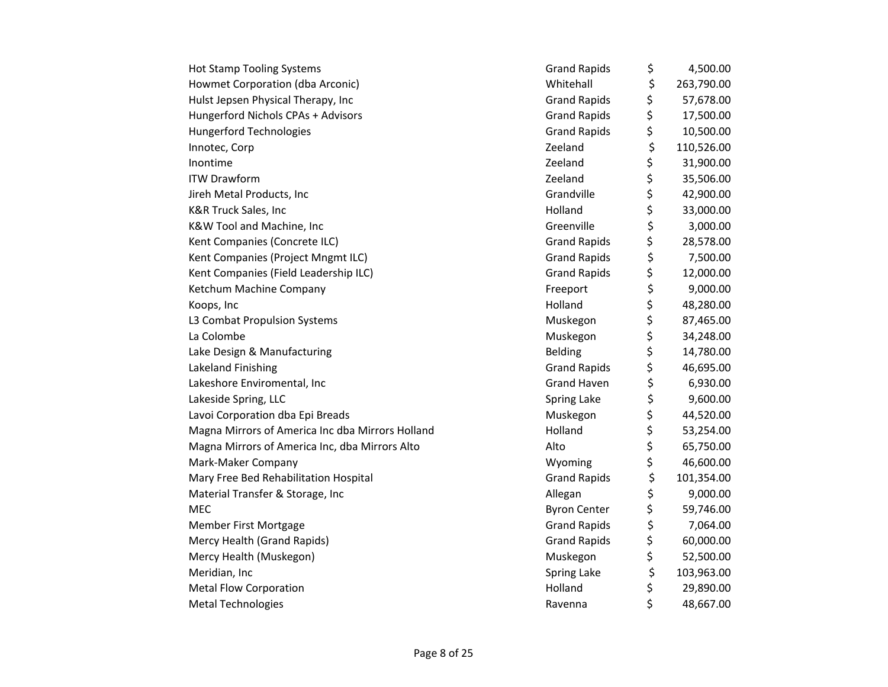| <b>Hot Stamp Tooling Systems</b>                 | <b>Grand Rapids</b> | \$<br>4,500.00   |
|--------------------------------------------------|---------------------|------------------|
| Howmet Corporation (dba Arconic)                 | Whitehall           | \$<br>263,790.00 |
| Hulst Jepsen Physical Therapy, Inc               | <b>Grand Rapids</b> | \$<br>57,678.00  |
| Hungerford Nichols CPAs + Advisors               | <b>Grand Rapids</b> | \$<br>17,500.00  |
| <b>Hungerford Technologies</b>                   | <b>Grand Rapids</b> | \$<br>10,500.00  |
| Innotec, Corp                                    | Zeeland             | \$<br>110,526.00 |
| Inontime                                         | Zeeland             | \$<br>31,900.00  |
| <b>ITW Drawform</b>                              | Zeeland             | \$<br>35,506.00  |
| Jireh Metal Products, Inc                        | Grandville          | \$<br>42,900.00  |
| K&R Truck Sales, Inc                             | Holland             | \$<br>33,000.00  |
| K&W Tool and Machine, Inc                        | Greenville          | \$<br>3,000.00   |
| Kent Companies (Concrete ILC)                    | <b>Grand Rapids</b> | \$<br>28,578.00  |
| Kent Companies (Project Mngmt ILC)               | <b>Grand Rapids</b> | \$<br>7,500.00   |
| Kent Companies (Field Leadership ILC)            | <b>Grand Rapids</b> | \$<br>12,000.00  |
| Ketchum Machine Company                          | Freeport            | \$<br>9,000.00   |
| Koops, Inc                                       | Holland             | \$<br>48,280.00  |
| L3 Combat Propulsion Systems                     | Muskegon            | \$<br>87,465.00  |
| La Colombe                                       | Muskegon            | \$<br>34,248.00  |
| Lake Design & Manufacturing                      | <b>Belding</b>      | \$<br>14,780.00  |
| Lakeland Finishing                               | <b>Grand Rapids</b> | \$<br>46,695.00  |
| Lakeshore Enviromental, Inc                      | <b>Grand Haven</b>  | \$<br>6,930.00   |
| Lakeside Spring, LLC                             | Spring Lake         | \$<br>9,600.00   |
| Lavoi Corporation dba Epi Breads                 | Muskegon            | \$<br>44,520.00  |
| Magna Mirrors of America Inc dba Mirrors Holland | Holland             | \$<br>53,254.00  |
| Magna Mirrors of America Inc, dba Mirrors Alto   | Alto                | \$<br>65,750.00  |
| Mark-Maker Company                               | Wyoming             | \$<br>46,600.00  |
| Mary Free Bed Rehabilitation Hospital            | <b>Grand Rapids</b> | \$<br>101,354.00 |
| Material Transfer & Storage, Inc                 | Allegan             | \$<br>9,000.00   |
| <b>MEC</b>                                       | <b>Byron Center</b> | \$<br>59,746.00  |
| Member First Mortgage                            | <b>Grand Rapids</b> | \$<br>7,064.00   |
| Mercy Health (Grand Rapids)                      | <b>Grand Rapids</b> | \$<br>60,000.00  |
| Mercy Health (Muskegon)                          | Muskegon            | \$<br>52,500.00  |
| Meridian, Inc                                    | Spring Lake         | \$<br>103,963.00 |
| <b>Metal Flow Corporation</b>                    | Holland             | \$<br>29,890.00  |
| Metal Technologies                               | Ravenna             | \$<br>48,667.00  |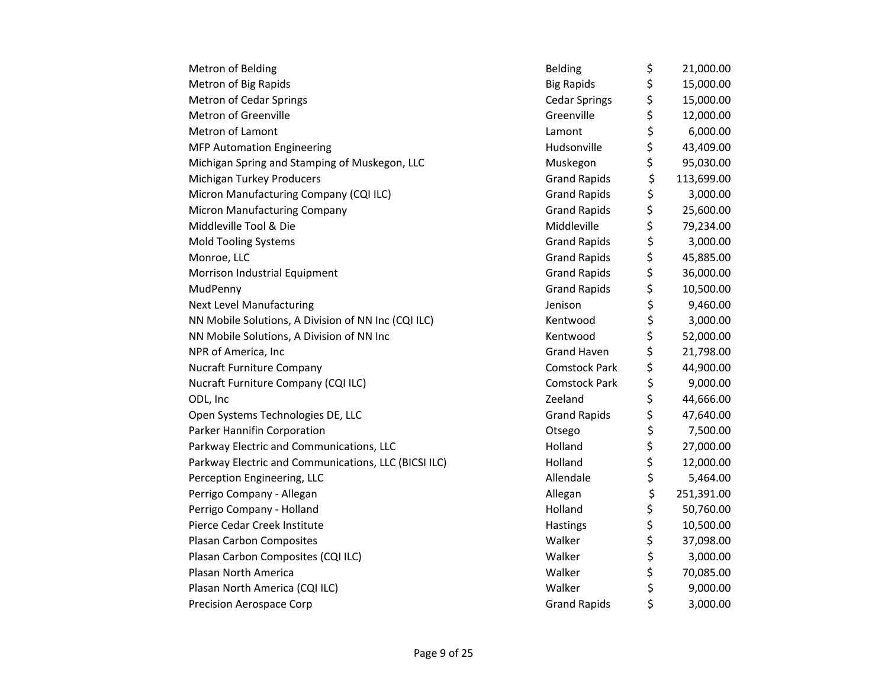| Metron of Belding                                    | <b>Belding</b>       | \$<br>21,000.00  |
|------------------------------------------------------|----------------------|------------------|
| Metron of Big Rapids                                 | <b>Big Rapids</b>    | \$<br>15,000.00  |
| <b>Metron of Cedar Springs</b>                       | <b>Cedar Springs</b> | \$<br>15,000.00  |
| Metron of Greenville                                 | Greenville           | \$<br>12,000.00  |
| Metron of Lamont                                     | Lamont               | \$<br>6,000.00   |
| <b>MFP Automation Engineering</b>                    | Hudsonville          | \$<br>43,409.00  |
| Michigan Spring and Stamping of Muskegon, LLC        | Muskegon             | \$<br>95,030.00  |
| Michigan Turkey Producers                            | <b>Grand Rapids</b>  | \$<br>113,699.00 |
| Micron Manufacturing Company (CQI ILC)               | <b>Grand Rapids</b>  | \$<br>3,000.00   |
| <b>Micron Manufacturing Company</b>                  | <b>Grand Rapids</b>  | \$<br>25,600.00  |
| Middleville Tool & Die                               | Middleville          | \$<br>79,234.00  |
| <b>Mold Tooling Systems</b>                          | <b>Grand Rapids</b>  | \$<br>3,000.00   |
| Monroe, LLC                                          | <b>Grand Rapids</b>  | \$<br>45,885.00  |
| Morrison Industrial Equipment                        | <b>Grand Rapids</b>  | \$<br>36,000.00  |
| MudPenny                                             | <b>Grand Rapids</b>  | \$<br>10,500.00  |
| <b>Next Level Manufacturing</b>                      | Jenison              | \$<br>9,460.00   |
| NN Mobile Solutions, A Division of NN Inc (CQI ILC)  | Kentwood             | \$<br>3,000.00   |
| NN Mobile Solutions, A Division of NN Inc            | Kentwood             | \$<br>52,000.00  |
| NPR of America, Inc                                  | <b>Grand Haven</b>   | \$<br>21,798.00  |
| <b>Nucraft Furniture Company</b>                     | <b>Comstock Park</b> | \$<br>44,900.00  |
| Nucraft Furniture Company (CQI ILC)                  | <b>Comstock Park</b> | \$<br>9,000.00   |
| ODL, Inc                                             | Zeeland              | \$<br>44,666.00  |
| Open Systems Technologies DE, LLC                    | <b>Grand Rapids</b>  | \$<br>47,640.00  |
| Parker Hannifin Corporation                          | Otsego               | \$<br>7,500.00   |
| Parkway Electric and Communications, LLC             | Holland              | \$<br>27,000.00  |
| Parkway Electric and Communications, LLC (BICSI ILC) | Holland              | \$<br>12,000.00  |
| Perception Engineering, LLC                          | Allendale            | \$<br>5,464.00   |
| Perrigo Company - Allegan                            | Allegan              | \$<br>251,391.00 |
| Perrigo Company - Holland                            | Holland              | \$<br>50,760.00  |
| Pierce Cedar Creek Institute                         | Hastings             | \$<br>10,500.00  |
| Plasan Carbon Composites                             | Walker               | \$<br>37,098.00  |
| Plasan Carbon Composites (CQI ILC)                   | Walker               | \$<br>3,000.00   |
| Plasan North America                                 | Walker               | \$<br>70,085.00  |
| Plasan North America (CQI ILC)                       | Walker               | \$<br>9,000.00   |
| <b>Precision Aerospace Corp</b>                      | <b>Grand Rapids</b>  | \$<br>3,000.00   |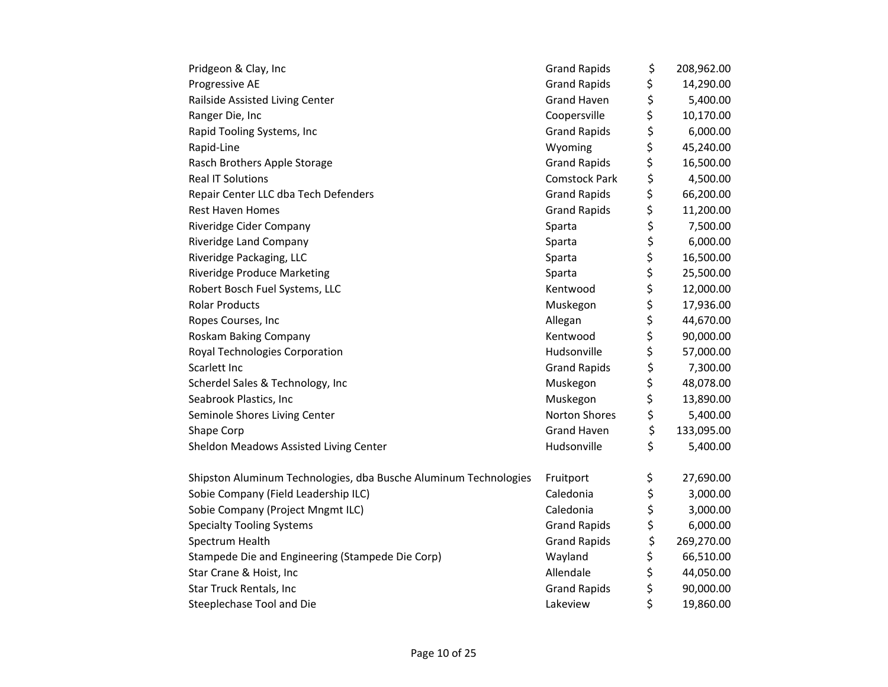| Pridgeon & Clay, Inc                                             | <b>Grand Rapids</b>  | \$<br>208,962.00 |
|------------------------------------------------------------------|----------------------|------------------|
| Progressive AE                                                   | <b>Grand Rapids</b>  | \$<br>14,290.00  |
| Railside Assisted Living Center                                  | <b>Grand Haven</b>   | \$<br>5,400.00   |
| Ranger Die, Inc                                                  | Coopersville         | \$<br>10,170.00  |
| Rapid Tooling Systems, Inc                                       | <b>Grand Rapids</b>  | \$<br>6,000.00   |
| Rapid-Line                                                       | Wyoming              | \$<br>45,240.00  |
| Rasch Brothers Apple Storage                                     | <b>Grand Rapids</b>  | \$<br>16,500.00  |
| <b>Real IT Solutions</b>                                         | <b>Comstock Park</b> | \$<br>4,500.00   |
| Repair Center LLC dba Tech Defenders                             | <b>Grand Rapids</b>  | \$<br>66,200.00  |
| <b>Rest Haven Homes</b>                                          | <b>Grand Rapids</b>  | \$<br>11,200.00  |
| Riveridge Cider Company                                          | Sparta               | \$<br>7,500.00   |
| Riveridge Land Company                                           | Sparta               | \$<br>6,000.00   |
| Riveridge Packaging, LLC                                         | Sparta               | \$<br>16,500.00  |
| <b>Riveridge Produce Marketing</b>                               | Sparta               | \$<br>25,500.00  |
| Robert Bosch Fuel Systems, LLC                                   | Kentwood             | \$<br>12,000.00  |
| <b>Rolar Products</b>                                            | Muskegon             | \$<br>17,936.00  |
| Ropes Courses, Inc                                               | Allegan              | \$<br>44,670.00  |
| Roskam Baking Company                                            | Kentwood             | \$<br>90,000.00  |
| Royal Technologies Corporation                                   | Hudsonville          | \$<br>57,000.00  |
| Scarlett Inc                                                     | <b>Grand Rapids</b>  | \$<br>7,300.00   |
| Scherdel Sales & Technology, Inc                                 | Muskegon             | \$<br>48,078.00  |
| Seabrook Plastics, Inc                                           | Muskegon             | \$<br>13,890.00  |
| Seminole Shores Living Center                                    | Norton Shores        | \$<br>5,400.00   |
| Shape Corp                                                       | <b>Grand Haven</b>   | \$<br>133,095.00 |
| Sheldon Meadows Assisted Living Center                           | Hudsonville          | \$<br>5,400.00   |
| Shipston Aluminum Technologies, dba Busche Aluminum Technologies | Fruitport            | \$<br>27,690.00  |
| Sobie Company (Field Leadership ILC)                             | Caledonia            | \$<br>3,000.00   |
| Sobie Company (Project Mngmt ILC)                                | Caledonia            | \$<br>3,000.00   |
| <b>Specialty Tooling Systems</b>                                 | <b>Grand Rapids</b>  | \$<br>6,000.00   |
| Spectrum Health                                                  | <b>Grand Rapids</b>  | \$<br>269,270.00 |
| Stampede Die and Engineering (Stampede Die Corp)                 | Wayland              | \$<br>66,510.00  |
| Star Crane & Hoist, Inc                                          | Allendale            | \$<br>44,050.00  |
| Star Truck Rentals, Inc                                          | <b>Grand Rapids</b>  | \$<br>90,000.00  |
| Steeplechase Tool and Die                                        | Lakeview             | \$<br>19,860.00  |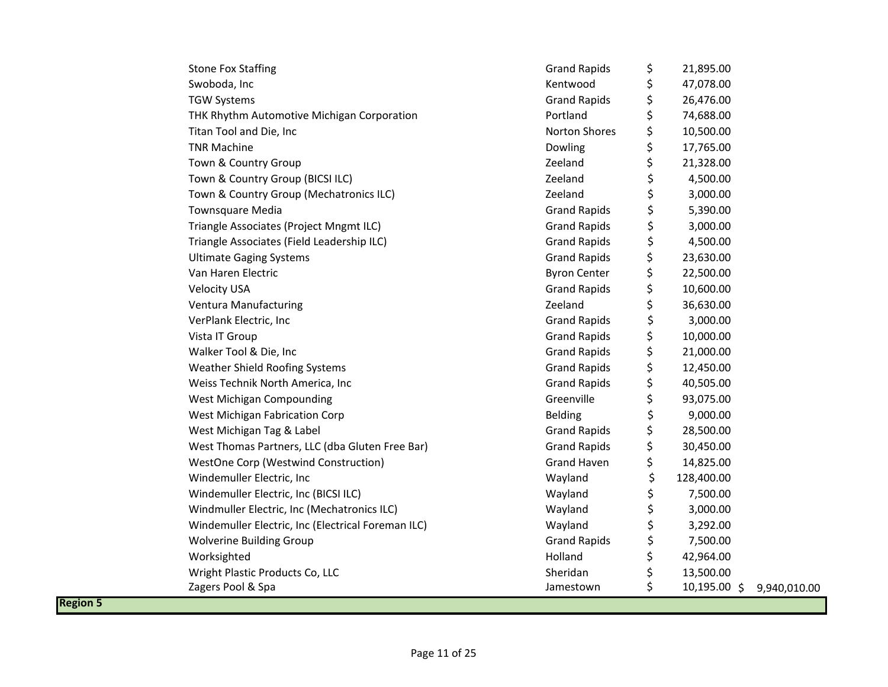| <b>Stone Fox Staffing</b>                          | <b>Grand Rapids</b>  | \$<br>21,895.00    |              |
|----------------------------------------------------|----------------------|--------------------|--------------|
| Swoboda, Inc                                       | Kentwood             | \$<br>47,078.00    |              |
| <b>TGW Systems</b>                                 | <b>Grand Rapids</b>  | \$<br>26,476.00    |              |
| THK Rhythm Automotive Michigan Corporation         | Portland             | \$<br>74,688.00    |              |
| Titan Tool and Die, Inc                            | <b>Norton Shores</b> | \$<br>10,500.00    |              |
| <b>TNR Machine</b>                                 | Dowling              | \$<br>17,765.00    |              |
| Town & Country Group                               | Zeeland              | \$<br>21,328.00    |              |
| Town & Country Group (BICSI ILC)                   | Zeeland              | \$<br>4,500.00     |              |
| Town & Country Group (Mechatronics ILC)            | Zeeland              | \$<br>3,000.00     |              |
| Townsquare Media                                   | <b>Grand Rapids</b>  | \$<br>5,390.00     |              |
| Triangle Associates (Project Mngmt ILC)            | <b>Grand Rapids</b>  | \$<br>3,000.00     |              |
| Triangle Associates (Field Leadership ILC)         | <b>Grand Rapids</b>  | \$<br>4,500.00     |              |
| <b>Ultimate Gaging Systems</b>                     | <b>Grand Rapids</b>  | \$<br>23,630.00    |              |
| Van Haren Electric                                 | <b>Byron Center</b>  | \$<br>22,500.00    |              |
| <b>Velocity USA</b>                                | <b>Grand Rapids</b>  | \$<br>10,600.00    |              |
| Ventura Manufacturing                              | Zeeland              | \$<br>36,630.00    |              |
| VerPlank Electric, Inc                             | <b>Grand Rapids</b>  | \$<br>3,000.00     |              |
| Vista IT Group                                     | <b>Grand Rapids</b>  | \$<br>10,000.00    |              |
| Walker Tool & Die, Inc                             | <b>Grand Rapids</b>  | \$<br>21,000.00    |              |
| Weather Shield Roofing Systems                     | <b>Grand Rapids</b>  | \$<br>12,450.00    |              |
| Weiss Technik North America, Inc                   | <b>Grand Rapids</b>  | \$<br>40,505.00    |              |
| West Michigan Compounding                          | Greenville           | \$<br>93,075.00    |              |
| West Michigan Fabrication Corp                     | <b>Belding</b>       | \$<br>9,000.00     |              |
| West Michigan Tag & Label                          | <b>Grand Rapids</b>  | \$<br>28,500.00    |              |
| West Thomas Partners, LLC (dba Gluten Free Bar)    | <b>Grand Rapids</b>  | \$<br>30,450.00    |              |
| WestOne Corp (Westwind Construction)               | <b>Grand Haven</b>   | \$<br>14,825.00    |              |
| Windemuller Electric, Inc                          | Wayland              | \$<br>128,400.00   |              |
| Windemuller Electric, Inc (BICSI ILC)              | Wayland              | \$<br>7,500.00     |              |
| Windmuller Electric, Inc (Mechatronics ILC)        | Wayland              | \$<br>3,000.00     |              |
| Windemuller Electric, Inc (Electrical Foreman ILC) | Wayland              | \$<br>3,292.00     |              |
| Wolverine Building Group                           | <b>Grand Rapids</b>  | \$<br>7,500.00     |              |
| Worksighted                                        | Holland              | \$<br>42,964.00    |              |
| Wright Plastic Products Co, LLC                    | Sheridan             | \$<br>13,500.00    |              |
| Zagers Pool & Spa                                  | Jamestown            | \$<br>10,195.00 \$ | 9,940,010.00 |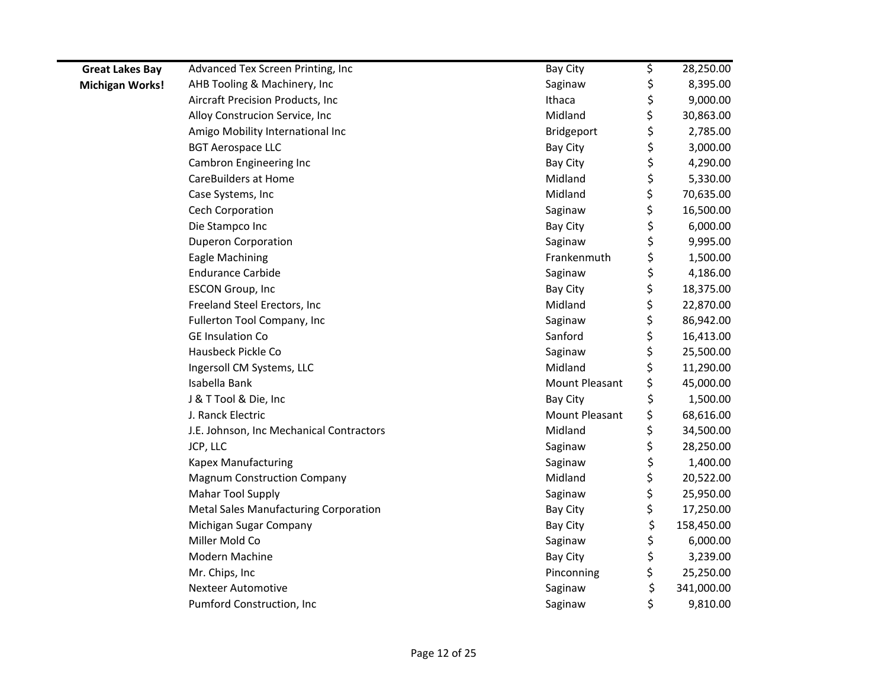| <b>Great Lakes Bay</b> | Advanced Tex Screen Printing, Inc        | Bay City              | \$<br>28,250.00  |
|------------------------|------------------------------------------|-----------------------|------------------|
| <b>Michigan Works!</b> | AHB Tooling & Machinery, Inc             | Saginaw               | \$<br>8,395.00   |
|                        | Aircraft Precision Products, Inc         | Ithaca                | \$<br>9,000.00   |
|                        | Alloy Construcion Service, Inc           | Midland               | \$<br>30,863.00  |
|                        | Amigo Mobility International Inc         | Bridgeport            | \$<br>2,785.00   |
|                        | <b>BGT Aerospace LLC</b>                 | Bay City              | \$<br>3,000.00   |
|                        | Cambron Engineering Inc                  | Bay City              | \$<br>4,290.00   |
|                        | <b>CareBuilders at Home</b>              | Midland               | \$<br>5,330.00   |
|                        | Case Systems, Inc                        | Midland               | \$<br>70,635.00  |
|                        | Cech Corporation                         | Saginaw               | \$<br>16,500.00  |
|                        | Die Stampco Inc                          | Bay City              | \$<br>6,000.00   |
|                        | <b>Duperon Corporation</b>               | Saginaw               | \$<br>9,995.00   |
|                        | Eagle Machining                          | Frankenmuth           | \$<br>1,500.00   |
|                        | <b>Endurance Carbide</b>                 | Saginaw               | \$<br>4,186.00   |
|                        | <b>ESCON Group, Inc</b>                  | Bay City              | \$<br>18,375.00  |
|                        | Freeland Steel Erectors, Inc             | Midland               | \$<br>22,870.00  |
|                        | Fullerton Tool Company, Inc              | Saginaw               | \$<br>86,942.00  |
|                        | <b>GE Insulation Co</b>                  | Sanford               | \$<br>16,413.00  |
|                        | Hausbeck Pickle Co                       | Saginaw               | \$<br>25,500.00  |
|                        | Ingersoll CM Systems, LLC                | Midland               | \$<br>11,290.00  |
|                        | Isabella Bank                            | <b>Mount Pleasant</b> | \$<br>45,000.00  |
|                        | J & T Tool & Die, Inc                    | Bay City              | \$<br>1,500.00   |
|                        | J. Ranck Electric                        | Mount Pleasant        | \$<br>68,616.00  |
|                        | J.E. Johnson, Inc Mechanical Contractors | Midland               | \$<br>34,500.00  |
|                        | JCP, LLC                                 | Saginaw               | \$<br>28,250.00  |
|                        | Kapex Manufacturing                      | Saginaw               | \$<br>1,400.00   |
|                        | <b>Magnum Construction Company</b>       | Midland               | \$<br>20,522.00  |
|                        | Mahar Tool Supply                        | Saginaw               | \$<br>25,950.00  |
|                        | Metal Sales Manufacturing Corporation    | Bay City              | \$<br>17,250.00  |
|                        | Michigan Sugar Company                   | Bay City              | \$<br>158,450.00 |
|                        | Miller Mold Co                           | Saginaw               | \$<br>6,000.00   |
|                        | Modern Machine                           | Bay City              | \$<br>3,239.00   |
|                        | Mr. Chips, Inc                           | Pinconning            | \$<br>25,250.00  |
|                        | <b>Nexteer Automotive</b>                | Saginaw               | \$<br>341,000.00 |
|                        | Pumford Construction, Inc                | Saginaw               | \$<br>9,810.00   |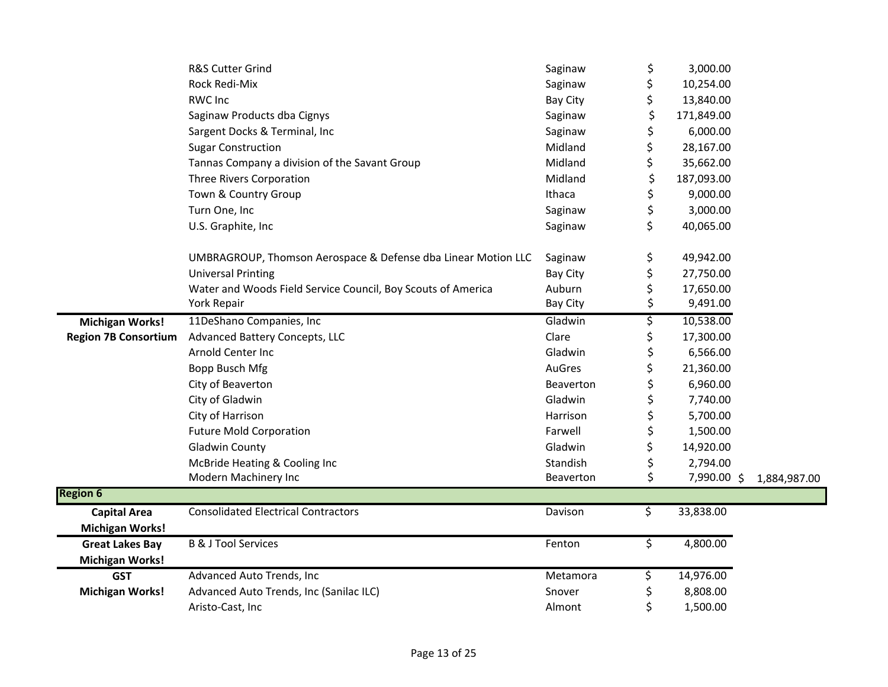|                             | R&S Cutter Grind                                              | Saginaw         | \$<br>3,000.00    |              |
|-----------------------------|---------------------------------------------------------------|-----------------|-------------------|--------------|
|                             | Rock Redi-Mix                                                 | Saginaw         | \$<br>10,254.00   |              |
|                             | <b>RWC Inc</b>                                                | <b>Bay City</b> | \$<br>13,840.00   |              |
|                             | Saginaw Products dba Cignys                                   | Saginaw         | \$<br>171,849.00  |              |
|                             | Sargent Docks & Terminal, Inc                                 | Saginaw         | \$<br>6,000.00    |              |
|                             | <b>Sugar Construction</b>                                     | Midland         | \$<br>28,167.00   |              |
|                             | Tannas Company a division of the Savant Group                 | Midland         | \$<br>35,662.00   |              |
|                             | Three Rivers Corporation                                      | Midland         | \$<br>187,093.00  |              |
|                             | Town & Country Group                                          | Ithaca          | \$<br>9,000.00    |              |
|                             | Turn One, Inc                                                 | Saginaw         | \$<br>3,000.00    |              |
|                             | U.S. Graphite, Inc.                                           | Saginaw         | \$<br>40,065.00   |              |
|                             | UMBRAGROUP, Thomson Aerospace & Defense dba Linear Motion LLC | Saginaw         | \$<br>49,942.00   |              |
|                             | <b>Universal Printing</b>                                     | <b>Bay City</b> | \$<br>27,750.00   |              |
|                             | Water and Woods Field Service Council, Boy Scouts of America  | Auburn          | \$<br>17,650.00   |              |
|                             | York Repair                                                   | <b>Bay City</b> | \$<br>9,491.00    |              |
| <b>Michigan Works!</b>      | 11DeShano Companies, Inc                                      | Gladwin         | \$<br>10,538.00   |              |
| <b>Region 7B Consortium</b> | Advanced Battery Concepts, LLC                                | Clare           | \$<br>17,300.00   |              |
|                             | Arnold Center Inc                                             | Gladwin         | \$<br>6,566.00    |              |
|                             | Bopp Busch Mfg                                                | AuGres          | \$<br>21,360.00   |              |
|                             | City of Beaverton                                             | Beaverton       | 6,960.00          |              |
|                             | City of Gladwin                                               | Gladwin         | \$<br>7,740.00    |              |
|                             | City of Harrison                                              | Harrison        | \$<br>5,700.00    |              |
|                             | <b>Future Mold Corporation</b>                                | Farwell         | \$<br>1,500.00    |              |
|                             | <b>Gladwin County</b>                                         | Gladwin         | \$<br>14,920.00   |              |
|                             | McBride Heating & Cooling Inc                                 | Standish        | \$<br>2,794.00    |              |
|                             | Modern Machinery Inc                                          | Beaverton       | \$<br>7,990.00 \$ | 1,884,987.00 |
| <b>Region 6</b>             |                                                               |                 |                   |              |
| <b>Capital Area</b>         | <b>Consolidated Electrical Contractors</b>                    | Davison         | \$<br>33,838.00   |              |
| <b>Michigan Works!</b>      |                                                               |                 |                   |              |
| <b>Great Lakes Bay</b>      | <b>B &amp; J Tool Services</b>                                | Fenton          | \$<br>4,800.00    |              |
| <b>Michigan Works!</b>      |                                                               |                 |                   |              |
| <b>GST</b>                  | Advanced Auto Trends, Inc                                     | Metamora        | \$<br>14,976.00   |              |
| <b>Michigan Works!</b>      | Advanced Auto Trends, Inc (Sanilac ILC)                       | Snover          | \$<br>8,808.00    |              |
|                             | Aristo-Cast, Inc                                              | Almont          | \$<br>1,500.00    |              |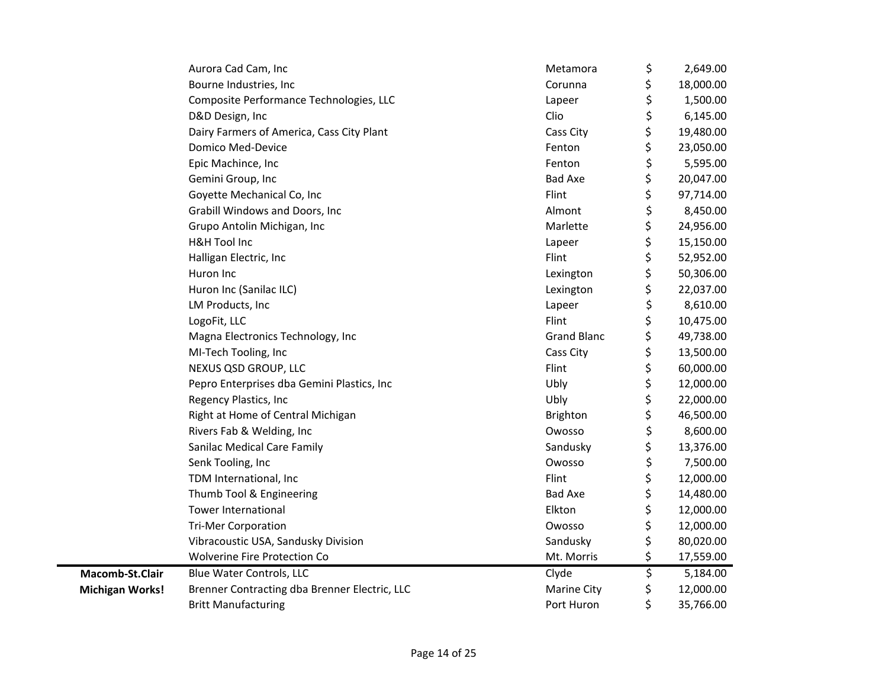|                        | Aurora Cad Cam, Inc                           | Metamora           | \$<br>2,649.00  |
|------------------------|-----------------------------------------------|--------------------|-----------------|
|                        | Bourne Industries, Inc                        | Corunna            | \$<br>18,000.00 |
|                        | Composite Performance Technologies, LLC       | Lapeer             | \$<br>1,500.00  |
|                        | D&D Design, Inc                               | Clio               | \$<br>6,145.00  |
|                        | Dairy Farmers of America, Cass City Plant     | Cass City          | \$<br>19,480.00 |
|                        | Domico Med-Device                             | Fenton             | \$<br>23,050.00 |
|                        | Epic Machince, Inc                            | Fenton             | \$<br>5,595.00  |
|                        | Gemini Group, Inc                             | <b>Bad Axe</b>     | \$<br>20,047.00 |
|                        | Goyette Mechanical Co, Inc                    | Flint              | \$<br>97,714.00 |
|                        | Grabill Windows and Doors, Inc                | Almont             | \$<br>8,450.00  |
|                        | Grupo Antolin Michigan, Inc                   | Marlette           | \$<br>24,956.00 |
|                        | <b>H&amp;H Tool Inc</b>                       | Lapeer             | \$<br>15,150.00 |
|                        | Halligan Electric, Inc                        | Flint              | \$<br>52,952.00 |
|                        | Huron Inc                                     | Lexington          | \$<br>50,306.00 |
|                        | Huron Inc (Sanilac ILC)                       | Lexington          | \$<br>22,037.00 |
|                        | LM Products, Inc                              | Lapeer             | \$<br>8,610.00  |
|                        | LogoFit, LLC                                  | Flint              | \$<br>10,475.00 |
|                        | Magna Electronics Technology, Inc             | <b>Grand Blanc</b> | \$<br>49,738.00 |
|                        | MI-Tech Tooling, Inc                          | Cass City          | \$<br>13,500.00 |
|                        | NEXUS QSD GROUP, LLC                          | Flint              | \$<br>60,000.00 |
|                        | Pepro Enterprises dba Gemini Plastics, Inc    | Ubly               | \$<br>12,000.00 |
|                        | Regency Plastics, Inc                         | Ubly               | \$<br>22,000.00 |
|                        | Right at Home of Central Michigan             | <b>Brighton</b>    | \$<br>46,500.00 |
|                        | Rivers Fab & Welding, Inc                     | Owosso             | \$<br>8,600.00  |
|                        | Sanilac Medical Care Family                   | Sandusky           | \$<br>13,376.00 |
|                        | Senk Tooling, Inc                             | Owosso             | \$<br>7,500.00  |
|                        | TDM International, Inc                        | Flint              | \$<br>12,000.00 |
|                        | Thumb Tool & Engineering                      | <b>Bad Axe</b>     | \$<br>14,480.00 |
|                        | <b>Tower International</b>                    | Elkton             | \$<br>12,000.00 |
|                        | <b>Tri-Mer Corporation</b>                    | Owosso             | \$<br>12,000.00 |
|                        | Vibracoustic USA, Sandusky Division           | Sandusky           | \$<br>80,020.00 |
|                        | <b>Wolverine Fire Protection Co</b>           | Mt. Morris         | \$<br>17,559.00 |
| Macomb-St.Clair        | <b>Blue Water Controls, LLC</b>               | Clyde              | \$<br>5,184.00  |
| <b>Michigan Works!</b> | Brenner Contracting dba Brenner Electric, LLC | <b>Marine City</b> | \$<br>12,000.00 |
|                        | <b>Britt Manufacturing</b>                    | Port Huron         | \$<br>35,766.00 |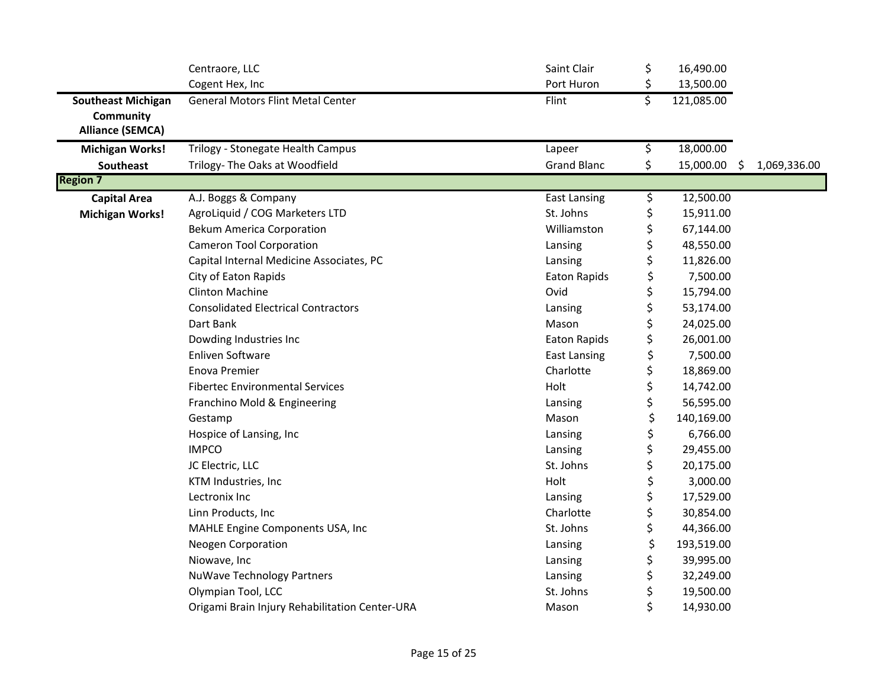|                                      | Centraore, LLC                                 | Saint Clair         | \$<br>16,490.00       |              |
|--------------------------------------|------------------------------------------------|---------------------|-----------------------|--------------|
|                                      | Cogent Hex, Inc                                | Port Huron          | \$<br>13,500.00       |              |
| <b>Southeast Michigan</b>            | <b>General Motors Flint Metal Center</b>       | Flint               | \$<br>121,085.00      |              |
| Community<br><b>Alliance (SEMCA)</b> |                                                |                     |                       |              |
| <b>Michigan Works!</b>               | Trilogy - Stonegate Health Campus              | Lapeer              | \$<br>18,000.00       |              |
| Southeast                            | Trilogy- The Oaks at Woodfield                 | <b>Grand Blanc</b>  | \$<br>15,000.00<br>-Ş | 1,069,336.00 |
| <b>Region 7</b>                      |                                                |                     |                       |              |
| <b>Capital Area</b>                  | A.J. Boggs & Company                           | <b>East Lansing</b> | \$<br>12,500.00       |              |
| <b>Michigan Works!</b>               | AgroLiquid / COG Marketers LTD                 | St. Johns           | \$<br>15,911.00       |              |
|                                      | <b>Bekum America Corporation</b>               | Williamston         | \$<br>67,144.00       |              |
|                                      | <b>Cameron Tool Corporation</b>                | Lansing             | \$<br>48,550.00       |              |
|                                      | Capital Internal Medicine Associates, PC       | Lansing             | \$<br>11,826.00       |              |
|                                      | City of Eaton Rapids                           | Eaton Rapids        | \$<br>7,500.00        |              |
|                                      | <b>Clinton Machine</b>                         | Ovid                | \$<br>15,794.00       |              |
|                                      | <b>Consolidated Electrical Contractors</b>     | Lansing             | \$<br>53,174.00       |              |
|                                      | Dart Bank                                      | Mason               | \$<br>24,025.00       |              |
|                                      | Dowding Industries Inc                         | Eaton Rapids        | \$<br>26,001.00       |              |
|                                      | <b>Enliven Software</b>                        | <b>East Lansing</b> | \$<br>7,500.00        |              |
|                                      | Enova Premier                                  | Charlotte           | \$<br>18,869.00       |              |
|                                      | <b>Fibertec Environmental Services</b>         | Holt                | \$<br>14,742.00       |              |
|                                      | Franchino Mold & Engineering                   | Lansing             | \$<br>56,595.00       |              |
|                                      | Gestamp                                        | Mason               | \$<br>140,169.00      |              |
|                                      | Hospice of Lansing, Inc                        | Lansing             | \$<br>6,766.00        |              |
|                                      | <b>IMPCO</b>                                   | Lansing             | \$<br>29,455.00       |              |
|                                      | JC Electric, LLC                               | St. Johns           | \$<br>20,175.00       |              |
|                                      | KTM Industries, Inc                            | Holt                | \$<br>3,000.00        |              |
|                                      | Lectronix Inc                                  | Lansing             | \$<br>17,529.00       |              |
|                                      | Linn Products, Inc                             | Charlotte           | \$<br>30,854.00       |              |
|                                      | MAHLE Engine Components USA, Inc               | St. Johns           | \$<br>44,366.00       |              |
|                                      | <b>Neogen Corporation</b>                      | Lansing             | \$<br>193,519.00      |              |
|                                      | Niowave, Inc                                   | Lansing             | \$<br>39,995.00       |              |
|                                      | <b>NuWave Technology Partners</b>              | Lansing             | \$<br>32,249.00       |              |
|                                      | Olympian Tool, LCC                             | St. Johns           | \$<br>19,500.00       |              |
|                                      | Origami Brain Injury Rehabilitation Center-URA | Mason               | \$<br>14,930.00       |              |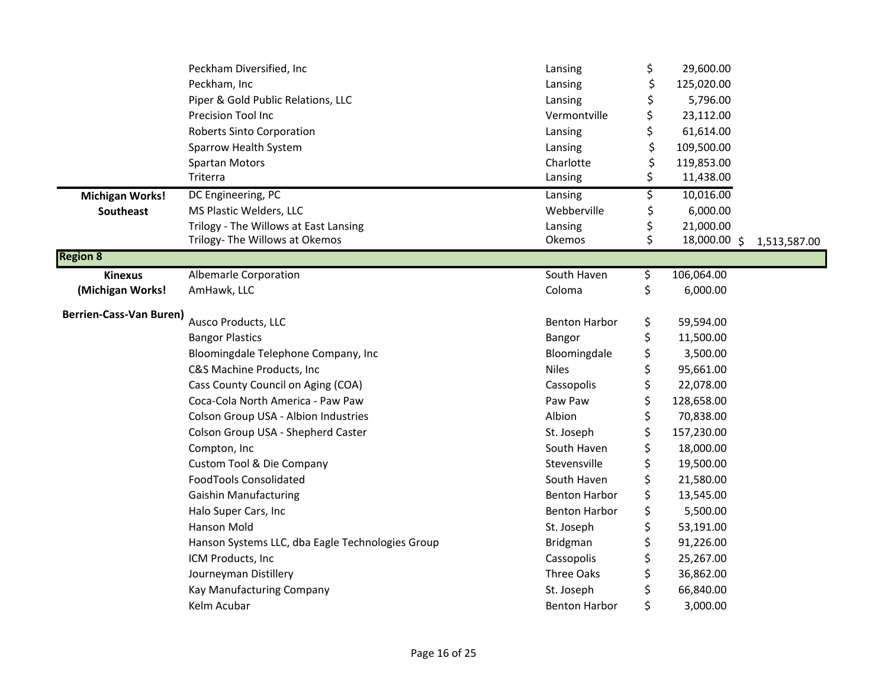|                                | Peckham Diversified, Inc                         | Lansing                      | \$<br>29,600.00    |              |
|--------------------------------|--------------------------------------------------|------------------------------|--------------------|--------------|
|                                | Peckham, Inc                                     | Lansing                      | \$<br>125,020.00   |              |
|                                | Piper & Gold Public Relations, LLC               | Lansing                      | 5,796.00           |              |
|                                | Precision Tool Inc                               | Vermontville                 | \$<br>23,112.00    |              |
|                                | Roberts Sinto Corporation                        | Lansing                      | \$<br>61,614.00    |              |
|                                | Sparrow Health System                            | Lansing                      | \$<br>109,500.00   |              |
|                                | <b>Spartan Motors</b>                            | Charlotte                    | \$<br>119,853.00   |              |
|                                | Triterra                                         | Lansing                      | \$<br>11,438.00    |              |
| <b>Michigan Works!</b>         | DC Engineering, PC                               | Lansing                      | \$<br>10,016.00    |              |
| Southeast                      | MS Plastic Welders, LLC                          | Webberville                  | \$<br>6,000.00     |              |
|                                | Trilogy - The Willows at East Lansing            | Lansing                      | \$<br>21,000.00    |              |
|                                | Trilogy- The Willows at Okemos                   | Okemos                       | \$<br>18,000.00 \$ | 1,513,587.00 |
| <b>Region 8</b>                |                                                  |                              |                    |              |
| <b>Kinexus</b>                 | Albemarle Corporation                            | South Haven                  | \$<br>106,064.00   |              |
| (Michigan Works!               | AmHawk, LLC                                      | Coloma                       | \$<br>6,000.00     |              |
| <b>Berrien-Cass-Van Buren)</b> | Ausco Products, LLC                              | <b>Benton Harbor</b>         | \$<br>59,594.00    |              |
|                                | <b>Bangor Plastics</b>                           |                              | \$<br>11,500.00    |              |
|                                |                                                  | Bangor                       | 3,500.00           |              |
|                                | Bloomingdale Telephone Company, Inc              | Bloomingdale<br><b>Niles</b> | \$                 |              |
|                                | C&S Machine Products, Inc                        |                              | \$<br>95,661.00    |              |
|                                | Cass County Council on Aging (COA)               | Cassopolis                   | \$<br>22,078.00    |              |
|                                | Coca-Cola North America - Paw Paw                | Paw Paw                      | \$<br>128,658.00   |              |
|                                | Colson Group USA - Albion Industries             | Albion                       | \$<br>70,838.00    |              |
|                                | Colson Group USA - Shepherd Caster               | St. Joseph                   | \$<br>157,230.00   |              |
|                                | Compton, Inc                                     | South Haven                  | \$<br>18,000.00    |              |
|                                | Custom Tool & Die Company                        | Stevensville                 | \$<br>19,500.00    |              |
|                                | <b>FoodTools Consolidated</b>                    | South Haven                  | \$<br>21,580.00    |              |
|                                | <b>Gaishin Manufacturing</b>                     | <b>Benton Harbor</b>         | \$<br>13,545.00    |              |
|                                | Halo Super Cars, Inc                             | <b>Benton Harbor</b>         | \$<br>5,500.00     |              |
|                                | Hanson Mold                                      | St. Joseph                   | \$<br>53,191.00    |              |
|                                | Hanson Systems LLC, dba Eagle Technologies Group | Bridgman                     | \$<br>91,226.00    |              |
|                                | ICM Products, Inc.                               | Cassopolis                   | \$<br>25,267.00    |              |
|                                | Journeyman Distillery                            | Three Oaks                   | \$<br>36,862.00    |              |
|                                | Kay Manufacturing Company                        | St. Joseph                   | \$<br>66,840.00    |              |
|                                | Kelm Acubar                                      | <b>Benton Harbor</b>         | \$<br>3,000.00     |              |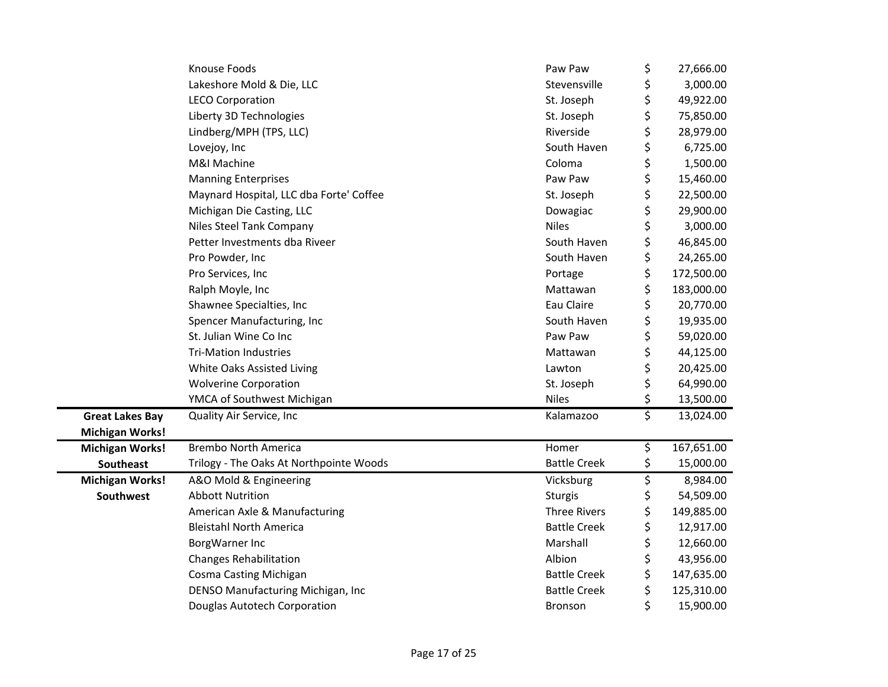|                        | Knouse Foods                            | Paw Paw             | \$<br>27,666.00  |
|------------------------|-----------------------------------------|---------------------|------------------|
|                        | Lakeshore Mold & Die, LLC               | Stevensville        | \$<br>3,000.00   |
|                        | <b>LECO Corporation</b>                 | St. Joseph          | \$<br>49,922.00  |
|                        | Liberty 3D Technologies                 | St. Joseph          | \$<br>75,850.00  |
|                        | Lindberg/MPH (TPS, LLC)                 | Riverside           | \$<br>28,979.00  |
|                        | Lovejoy, Inc                            | South Haven         | \$<br>6,725.00   |
|                        | M&I Machine                             | Coloma              | \$<br>1,500.00   |
|                        | <b>Manning Enterprises</b>              | Paw Paw             | \$<br>15,460.00  |
|                        | Maynard Hospital, LLC dba Forte' Coffee | St. Joseph          | \$<br>22,500.00  |
|                        | Michigan Die Casting, LLC               | Dowagiac            | \$<br>29,900.00  |
|                        | Niles Steel Tank Company                | <b>Niles</b>        | \$<br>3,000.00   |
|                        | Petter Investments dba Riveer           | South Haven         | \$<br>46,845.00  |
|                        | Pro Powder, Inc                         | South Haven         | \$<br>24,265.00  |
|                        | Pro Services, Inc                       | Portage             | \$<br>172,500.00 |
|                        | Ralph Moyle, Inc                        | Mattawan            | \$<br>183,000.00 |
|                        | Shawnee Specialties, Inc                | Eau Claire          | \$<br>20,770.00  |
|                        | Spencer Manufacturing, Inc              | South Haven         | \$<br>19,935.00  |
|                        | St. Julian Wine Co Inc                  | Paw Paw             | \$<br>59,020.00  |
|                        | <b>Tri-Mation Industries</b>            | Mattawan            | \$<br>44,125.00  |
|                        | White Oaks Assisted Living              | Lawton              | \$<br>20,425.00  |
|                        | <b>Wolverine Corporation</b>            | St. Joseph          | \$<br>64,990.00  |
|                        | YMCA of Southwest Michigan              | <b>Niles</b>        | \$<br>13,500.00  |
| <b>Great Lakes Bay</b> | Quality Air Service, Inc                | Kalamazoo           | \$<br>13,024.00  |
| <b>Michigan Works!</b> |                                         |                     |                  |
| <b>Michigan Works!</b> | <b>Brembo North America</b>             | Homer               | \$<br>167,651.00 |
| Southeast              | Trilogy - The Oaks At Northpointe Woods | <b>Battle Creek</b> | \$<br>15,000.00  |
| <b>Michigan Works!</b> | A&O Mold & Engineering                  | Vicksburg           | \$<br>8,984.00   |
| Southwest              | <b>Abbott Nutrition</b>                 | <b>Sturgis</b>      | \$<br>54,509.00  |
|                        | American Axle & Manufacturing           | <b>Three Rivers</b> | \$<br>149,885.00 |
|                        | <b>Bleistahl North America</b>          | <b>Battle Creek</b> | \$<br>12,917.00  |
|                        | BorgWarner Inc                          | Marshall            | \$<br>12,660.00  |
|                        | <b>Changes Rehabilitation</b>           | Albion              | \$<br>43,956.00  |
|                        | Cosma Casting Michigan                  | <b>Battle Creek</b> | \$<br>147,635.00 |
|                        | DENSO Manufacturing Michigan, Inc       | <b>Battle Creek</b> | \$<br>125,310.00 |
|                        | Douglas Autotech Corporation            | Bronson             | \$<br>15,900.00  |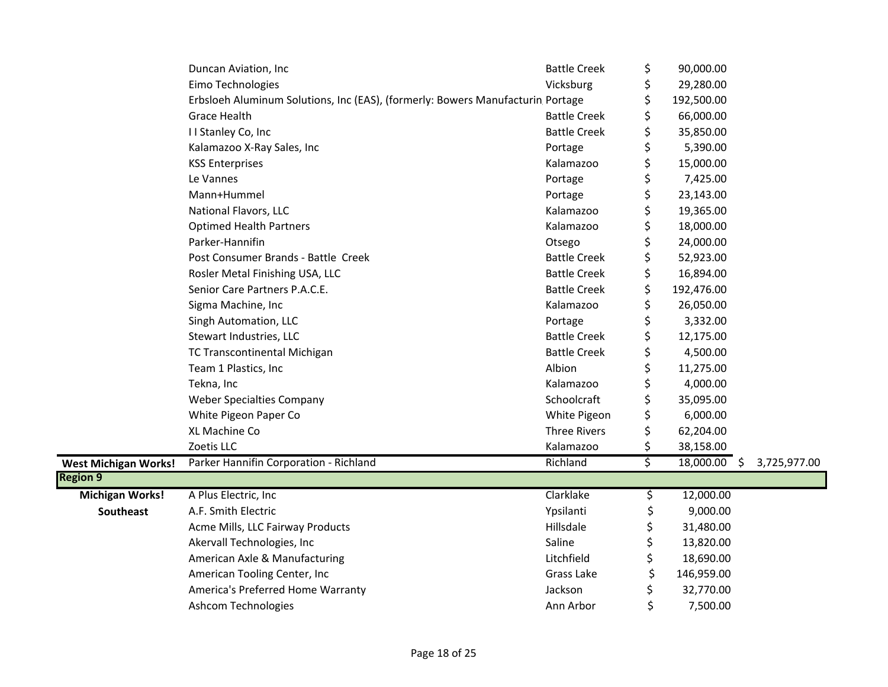|                             | Duncan Aviation, Inc                                                           | <b>Battle Creek</b> | \$<br>90,000.00      |              |
|-----------------------------|--------------------------------------------------------------------------------|---------------------|----------------------|--------------|
|                             | Eimo Technologies                                                              | Vicksburg           | \$<br>29,280.00      |              |
|                             | Erbsloeh Aluminum Solutions, Inc (EAS), (formerly: Bowers Manufacturin Portage |                     | \$<br>192,500.00     |              |
|                             | <b>Grace Health</b>                                                            | <b>Battle Creek</b> | \$<br>66,000.00      |              |
|                             | II Stanley Co, Inc                                                             | <b>Battle Creek</b> | \$<br>35,850.00      |              |
|                             | Kalamazoo X-Ray Sales, Inc                                                     | Portage             | \$<br>5,390.00       |              |
|                             | <b>KSS Enterprises</b>                                                         | Kalamazoo           | \$<br>15,000.00      |              |
|                             | Le Vannes                                                                      | Portage             | \$<br>7,425.00       |              |
|                             | Mann+Hummel                                                                    | Portage             | \$<br>23,143.00      |              |
|                             | National Flavors, LLC                                                          | Kalamazoo           | \$<br>19,365.00      |              |
|                             | <b>Optimed Health Partners</b>                                                 | Kalamazoo           | \$<br>18,000.00      |              |
|                             | Parker-Hannifin                                                                | Otsego              | \$<br>24,000.00      |              |
|                             | Post Consumer Brands - Battle Creek                                            | <b>Battle Creek</b> | \$<br>52,923.00      |              |
|                             | Rosler Metal Finishing USA, LLC                                                | <b>Battle Creek</b> | \$<br>16,894.00      |              |
|                             | Senior Care Partners P.A.C.E.                                                  | <b>Battle Creek</b> | \$<br>192,476.00     |              |
|                             | Sigma Machine, Inc                                                             | Kalamazoo           | \$<br>26,050.00      |              |
|                             | Singh Automation, LLC                                                          | Portage             | \$<br>3,332.00       |              |
|                             | Stewart Industries, LLC                                                        | <b>Battle Creek</b> | \$<br>12,175.00      |              |
|                             | TC Transcontinental Michigan                                                   | <b>Battle Creek</b> | \$<br>4,500.00       |              |
|                             | Team 1 Plastics, Inc                                                           | Albion              | \$<br>11,275.00      |              |
|                             | Tekna, Inc                                                                     | Kalamazoo           | \$<br>4,000.00       |              |
|                             | <b>Weber Specialties Company</b>                                               | Schoolcraft         | \$<br>35,095.00      |              |
|                             | White Pigeon Paper Co                                                          | White Pigeon        | \$<br>6,000.00       |              |
|                             | XL Machine Co                                                                  | <b>Three Rivers</b> | \$<br>62,204.00      |              |
|                             | Zoetis LLC                                                                     | Kalamazoo           | \$<br>38,158.00      |              |
| <b>West Michigan Works!</b> | Parker Hannifin Corporation - Richland                                         | Richland            | \$<br>$18,000.00$ \$ | 3,725,977.00 |
| <b>Region 9</b>             |                                                                                |                     |                      |              |
| <b>Michigan Works!</b>      | A Plus Electric, Inc                                                           | Clarklake           | \$<br>12,000.00      |              |
| Southeast                   | A.F. Smith Electric                                                            | Ypsilanti           | \$<br>9,000.00       |              |
|                             | Acme Mills, LLC Fairway Products                                               | Hillsdale           | \$<br>31,480.00      |              |
|                             | Akervall Technologies, Inc.                                                    | Saline              | 13,820.00            |              |
|                             | American Axle & Manufacturing                                                  | Litchfield          | \$<br>18,690.00      |              |
|                             | American Tooling Center, Inc                                                   | Grass Lake          | \$<br>146,959.00     |              |
|                             | America's Preferred Home Warranty                                              | Jackson             | 32,770.00            |              |
|                             | <b>Ashcom Technologies</b>                                                     | Ann Arbor           | \$<br>7,500.00       |              |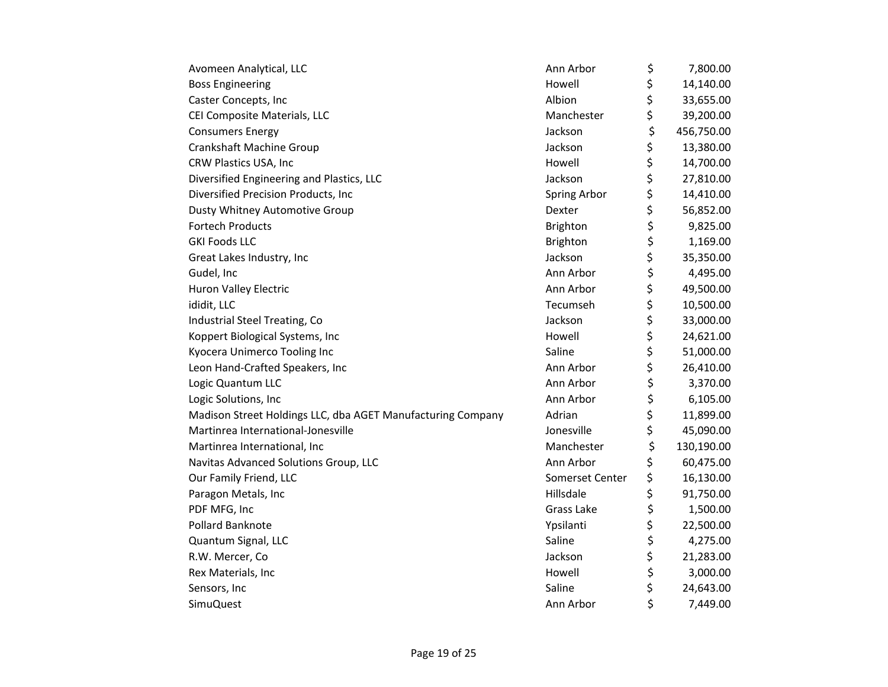| Avomeen Analytical, LLC                                     | Ann Arbor       | \$<br>7,800.00   |
|-------------------------------------------------------------|-----------------|------------------|
| <b>Boss Engineering</b>                                     | Howell          | \$<br>14,140.00  |
| Caster Concepts, Inc                                        | Albion          | \$<br>33,655.00  |
| CEI Composite Materials, LLC                                | Manchester      | \$<br>39,200.00  |
| <b>Consumers Energy</b>                                     | Jackson         | \$<br>456,750.00 |
| <b>Crankshaft Machine Group</b>                             | Jackson         | \$<br>13,380.00  |
| CRW Plastics USA, Inc                                       | Howell          | \$<br>14,700.00  |
| Diversified Engineering and Plastics, LLC                   | Jackson         | \$<br>27,810.00  |
| Diversified Precision Products, Inc                         | Spring Arbor    | \$<br>14,410.00  |
| Dusty Whitney Automotive Group                              | Dexter          | \$<br>56,852.00  |
| <b>Fortech Products</b>                                     | <b>Brighton</b> | \$<br>9,825.00   |
| <b>GKI Foods LLC</b>                                        | <b>Brighton</b> | \$<br>1,169.00   |
| Great Lakes Industry, Inc                                   | Jackson         | \$<br>35,350.00  |
| Gudel, Inc                                                  | Ann Arbor       | \$<br>4,495.00   |
| Huron Valley Electric                                       | Ann Arbor       | \$<br>49,500.00  |
| ididit, LLC                                                 | Tecumseh        | \$<br>10,500.00  |
| Industrial Steel Treating, Co                               | Jackson         | \$<br>33,000.00  |
| Koppert Biological Systems, Inc                             | Howell          | \$<br>24,621.00  |
| Kyocera Unimerco Tooling Inc                                | Saline          | \$<br>51,000.00  |
| Leon Hand-Crafted Speakers, Inc                             | Ann Arbor       | \$<br>26,410.00  |
| Logic Quantum LLC                                           | Ann Arbor       | \$<br>3,370.00   |
| Logic Solutions, Inc                                        | Ann Arbor       | \$<br>6,105.00   |
| Madison Street Holdings LLC, dba AGET Manufacturing Company | Adrian          | \$<br>11,899.00  |
| Martinrea International-Jonesville                          | Jonesville      | \$<br>45,090.00  |
| Martinrea International, Inc                                | Manchester      | \$<br>130,190.00 |
| Navitas Advanced Solutions Group, LLC                       | Ann Arbor       | \$<br>60,475.00  |
| Our Family Friend, LLC                                      | Somerset Center | \$<br>16,130.00  |
| Paragon Metals, Inc                                         | Hillsdale       | \$<br>91,750.00  |
| PDF MFG, Inc                                                | Grass Lake      | \$<br>1,500.00   |
| Pollard Banknote                                            | Ypsilanti       | \$<br>22,500.00  |
| Quantum Signal, LLC                                         | Saline          | \$<br>4,275.00   |
| R.W. Mercer, Co                                             | Jackson         | \$<br>21,283.00  |
| Rex Materials, Inc                                          | Howell          | \$<br>3,000.00   |
| Sensors, Inc                                                | Saline          | \$<br>24,643.00  |
| <b>SimuQuest</b>                                            | Ann Arbor       | \$<br>7,449.00   |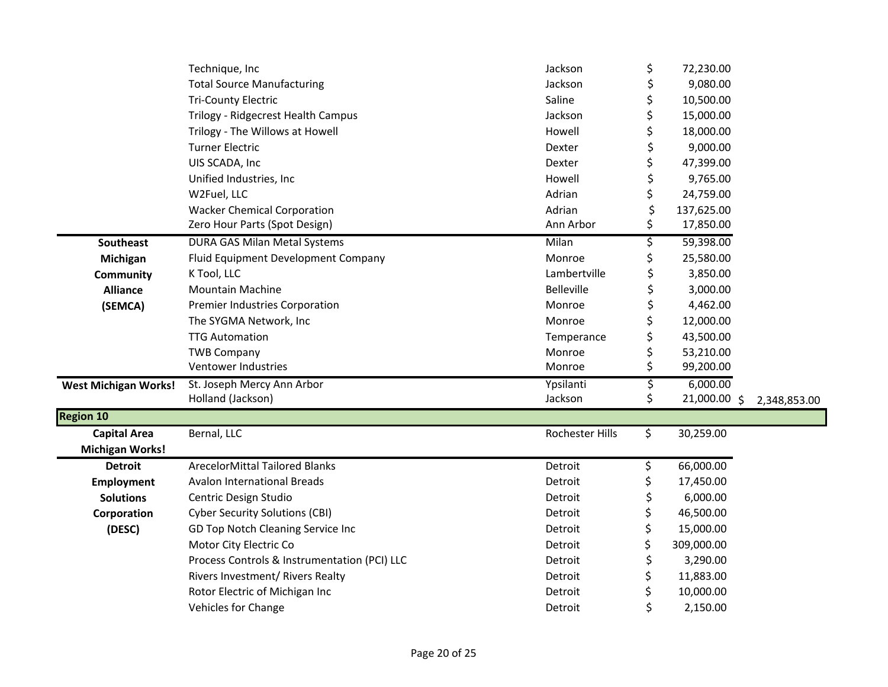|                             | Technique, Inc                               | Jackson           | \$<br>72,230.00    |              |
|-----------------------------|----------------------------------------------|-------------------|--------------------|--------------|
|                             | <b>Total Source Manufacturing</b>            | Jackson           | \$<br>9,080.00     |              |
|                             | <b>Tri-County Electric</b>                   | Saline            | \$<br>10,500.00    |              |
|                             | Trilogy - Ridgecrest Health Campus           | Jackson           | \$<br>15,000.00    |              |
|                             | Trilogy - The Willows at Howell              | Howell            | \$<br>18,000.00    |              |
|                             | <b>Turner Electric</b>                       | Dexter            | \$<br>9,000.00     |              |
|                             | UIS SCADA, Inc                               | Dexter            | \$<br>47,399.00    |              |
|                             | Unified Industries, Inc                      | Howell            | \$<br>9,765.00     |              |
|                             | W2Fuel, LLC                                  | Adrian            | \$<br>24,759.00    |              |
|                             | <b>Wacker Chemical Corporation</b>           | Adrian            | \$<br>137,625.00   |              |
|                             | Zero Hour Parts (Spot Design)                | Ann Arbor         | \$<br>17,850.00    |              |
| Southeast                   | <b>DURA GAS Milan Metal Systems</b>          | Milan             | \$<br>59,398.00    |              |
| Michigan                    | Fluid Equipment Development Company          | Monroe            | \$<br>25,580.00    |              |
| Community                   | K Tool, LLC                                  | Lambertville      | \$<br>3,850.00     |              |
| <b>Alliance</b>             | <b>Mountain Machine</b>                      | <b>Belleville</b> | \$<br>3,000.00     |              |
| (SEMCA)                     | Premier Industries Corporation               | Monroe            | \$<br>4,462.00     |              |
|                             | The SYGMA Network, Inc                       | Monroe            | \$<br>12,000.00    |              |
|                             | <b>TTG Automation</b>                        | Temperance        | \$<br>43,500.00    |              |
|                             | <b>TWB Company</b>                           | Monroe            | \$<br>53,210.00    |              |
|                             | Ventower Industries                          | Monroe            | \$<br>99,200.00    |              |
| <b>West Michigan Works!</b> | St. Joseph Mercy Ann Arbor                   | Ypsilanti         | \$<br>6,000.00     |              |
|                             | Holland (Jackson)                            | Jackson           | \$<br>21,000.00 \$ | 2,348,853.00 |
| <b>Region 10</b>            |                                              |                   |                    |              |
| <b>Capital Area</b>         | Bernal, LLC                                  | Rochester Hills   | \$<br>30,259.00    |              |
| <b>Michigan Works!</b>      |                                              |                   |                    |              |
| <b>Detroit</b>              | <b>ArecelorMittal Tailored Blanks</b>        | Detroit           | \$<br>66,000.00    |              |
| <b>Employment</b>           | <b>Avalon International Breads</b>           | Detroit           | \$<br>17,450.00    |              |
| <b>Solutions</b>            | Centric Design Studio                        | Detroit           | \$<br>6,000.00     |              |
| Corporation                 | <b>Cyber Security Solutions (CBI)</b>        | Detroit           | \$<br>46,500.00    |              |
| (DESC)                      | GD Top Notch Cleaning Service Inc            | Detroit           | \$<br>15,000.00    |              |
|                             | Motor City Electric Co                       | Detroit           | \$<br>309,000.00   |              |
|                             | Process Controls & Instrumentation (PCI) LLC | Detroit           | \$<br>3,290.00     |              |
|                             | Rivers Investment/ Rivers Realty             | Detroit           | \$<br>11,883.00    |              |
|                             | Rotor Electric of Michigan Inc               | Detroit           | \$<br>10,000.00    |              |
|                             | <b>Vehicles for Change</b>                   | Detroit           | \$<br>2,150.00     |              |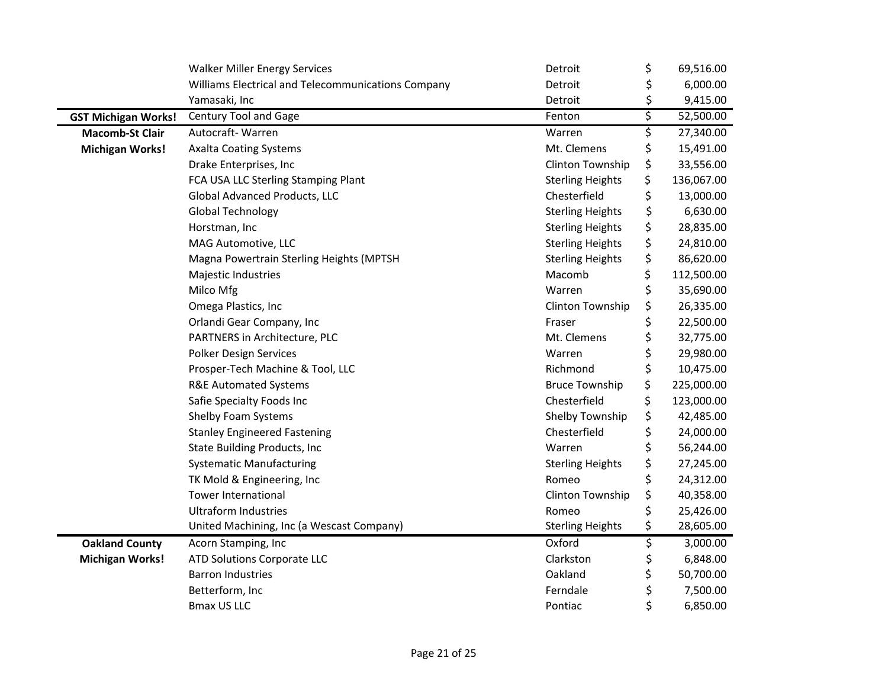|                            | <b>Walker Miller Energy Services</b>               | Detroit                 | \$<br>69,516.00  |
|----------------------------|----------------------------------------------------|-------------------------|------------------|
|                            | Williams Electrical and Telecommunications Company | Detroit                 | \$<br>6,000.00   |
|                            | Yamasaki, Inc                                      | Detroit                 | \$<br>9,415.00   |
| <b>GST Michigan Works!</b> | Century Tool and Gage                              | Fenton                  | \$<br>52,500.00  |
| <b>Macomb-St Clair</b>     | Autocraft-Warren                                   | Warren                  | \$<br>27,340.00  |
| <b>Michigan Works!</b>     | <b>Axalta Coating Systems</b>                      | Mt. Clemens             | \$<br>15,491.00  |
|                            | Drake Enterprises, Inc                             | Clinton Township        | \$<br>33,556.00  |
|                            | FCA USA LLC Sterling Stamping Plant                | <b>Sterling Heights</b> | \$<br>136,067.00 |
|                            | Global Advanced Products, LLC                      | Chesterfield            | \$<br>13,000.00  |
|                            | Global Technology                                  | <b>Sterling Heights</b> | \$<br>6,630.00   |
|                            | Horstman, Inc                                      | <b>Sterling Heights</b> | \$<br>28,835.00  |
|                            | MAG Automotive, LLC                                | <b>Sterling Heights</b> | \$<br>24,810.00  |
|                            | Magna Powertrain Sterling Heights (MPTSH           | <b>Sterling Heights</b> | \$<br>86,620.00  |
|                            | Majestic Industries                                | Macomb                  | \$<br>112,500.00 |
|                            | Milco Mfg                                          | Warren                  | \$<br>35,690.00  |
|                            | Omega Plastics, Inc                                | Clinton Township        | \$<br>26,335.00  |
|                            | Orlandi Gear Company, Inc                          | Fraser                  | \$<br>22,500.00  |
|                            | PARTNERS in Architecture, PLC                      | Mt. Clemens             | \$<br>32,775.00  |
|                            | <b>Polker Design Services</b>                      | Warren                  | \$<br>29,980.00  |
|                            | Prosper-Tech Machine & Tool, LLC                   | Richmond                | \$<br>10,475.00  |
|                            | <b>R&amp;E Automated Systems</b>                   | <b>Bruce Township</b>   | \$<br>225,000.00 |
|                            | Safie Specialty Foods Inc                          | Chesterfield            | \$<br>123,000.00 |
|                            | Shelby Foam Systems                                | Shelby Township         | \$<br>42,485.00  |
|                            | <b>Stanley Engineered Fastening</b>                | Chesterfield            | \$<br>24,000.00  |
|                            | <b>State Building Products, Inc</b>                | Warren                  | \$<br>56,244.00  |
|                            | <b>Systematic Manufacturing</b>                    | <b>Sterling Heights</b> | \$<br>27,245.00  |
|                            | TK Mold & Engineering, Inc                         | Romeo                   | \$<br>24,312.00  |
|                            | <b>Tower International</b>                         | Clinton Township        | \$<br>40,358.00  |
|                            | <b>Ultraform Industries</b>                        | Romeo                   | \$<br>25,426.00  |
|                            | United Machining, Inc (a Wescast Company)          | <b>Sterling Heights</b> | \$<br>28,605.00  |
| <b>Oakland County</b>      | Acorn Stamping, Inc                                | Oxford                  | \$<br>3,000.00   |
| <b>Michigan Works!</b>     | ATD Solutions Corporate LLC                        | Clarkston               | \$<br>6,848.00   |
|                            | <b>Barron Industries</b>                           | Oakland                 | \$<br>50,700.00  |
|                            | Betterform, Inc                                    | Ferndale                | \$<br>7,500.00   |
|                            | <b>Bmax US LLC</b>                                 | Pontiac                 | \$<br>6,850.00   |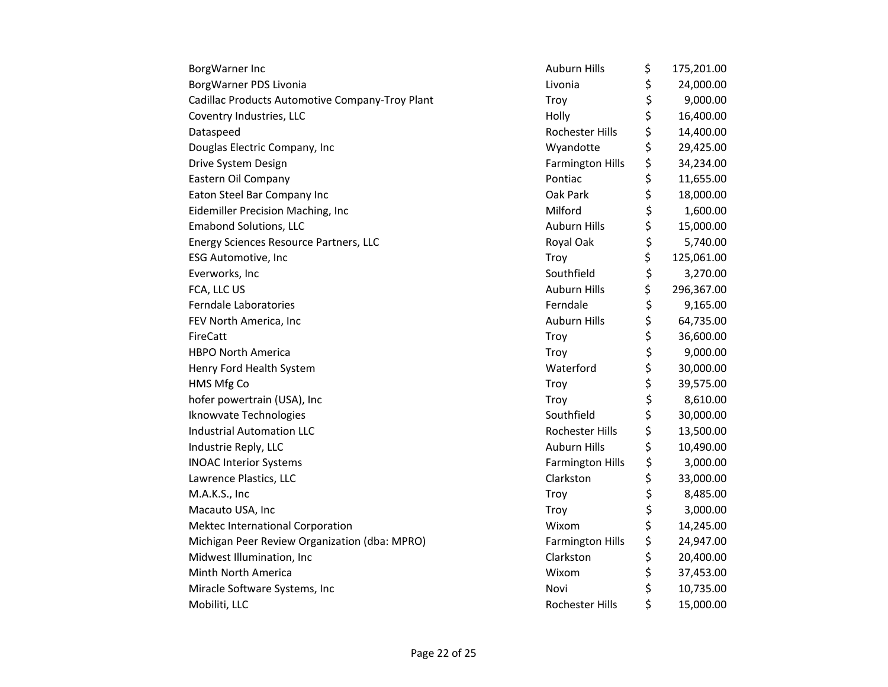| BorgWarner Inc                                  | <b>Auburn Hills</b>     | \$<br>175,201.00 |
|-------------------------------------------------|-------------------------|------------------|
| BorgWarner PDS Livonia                          | Livonia                 | \$<br>24,000.00  |
| Cadillac Products Automotive Company-Troy Plant | Troy                    | \$<br>9,000.00   |
| Coventry Industries, LLC                        | Holly                   | \$<br>16,400.00  |
| Dataspeed                                       | Rochester Hills         | \$<br>14,400.00  |
| Douglas Electric Company, Inc                   | Wyandotte               | \$<br>29,425.00  |
| Drive System Design                             | <b>Farmington Hills</b> | \$<br>34,234.00  |
| Eastern Oil Company                             | Pontiac                 | \$<br>11,655.00  |
| Eaton Steel Bar Company Inc                     | Oak Park                | \$<br>18,000.00  |
| Eidemiller Precision Maching, Inc               | Milford                 | \$<br>1,600.00   |
| <b>Emabond Solutions, LLC</b>                   | <b>Auburn Hills</b>     | \$<br>15,000.00  |
| Energy Sciences Resource Partners, LLC          | Royal Oak               | \$<br>5,740.00   |
| <b>ESG Automotive, Inc</b>                      | Troy                    | \$<br>125,061.00 |
| Everworks, Inc                                  | Southfield              | \$<br>3,270.00   |
| FCA, LLC US                                     | <b>Auburn Hills</b>     | \$<br>296,367.00 |
| <b>Ferndale Laboratories</b>                    | Ferndale                | \$<br>9,165.00   |
| FEV North America, Inc                          | Auburn Hills            | \$<br>64,735.00  |
| FireCatt                                        | Troy                    | \$<br>36,600.00  |
| <b>HBPO North America</b>                       | Troy                    | \$<br>9,000.00   |
| Henry Ford Health System                        | Waterford               | \$<br>30,000.00  |
| HMS Mfg Co                                      | Troy                    | \$<br>39,575.00  |
| hofer powertrain (USA), Inc                     | Troy                    | \$<br>8,610.00   |
| Iknowvate Technologies                          | Southfield              | \$<br>30,000.00  |
| <b>Industrial Automation LLC</b>                | Rochester Hills         | \$<br>13,500.00  |
| Industrie Reply, LLC                            | <b>Auburn Hills</b>     | \$<br>10,490.00  |
| <b>INOAC Interior Systems</b>                   | <b>Farmington Hills</b> | \$<br>3,000.00   |
| Lawrence Plastics, LLC                          | Clarkston               | \$<br>33,000.00  |
| M.A.K.S., Inc                                   | Troy                    | \$<br>8,485.00   |
| Macauto USA, Inc                                | Troy                    | \$<br>3,000.00   |
| Mektec International Corporation                | Wixom                   | \$<br>14,245.00  |
| Michigan Peer Review Organization (dba: MPRO)   | <b>Farmington Hills</b> | \$<br>24,947.00  |
| Midwest Illumination, Inc                       | Clarkston               | \$<br>20,400.00  |
| Minth North America                             | Wixom                   | \$<br>37,453.00  |
| Miracle Software Systems, Inc                   | Novi                    | \$<br>10,735.00  |
| Mobiliti, LLC                                   | Rochester Hills         | \$<br>15,000.00  |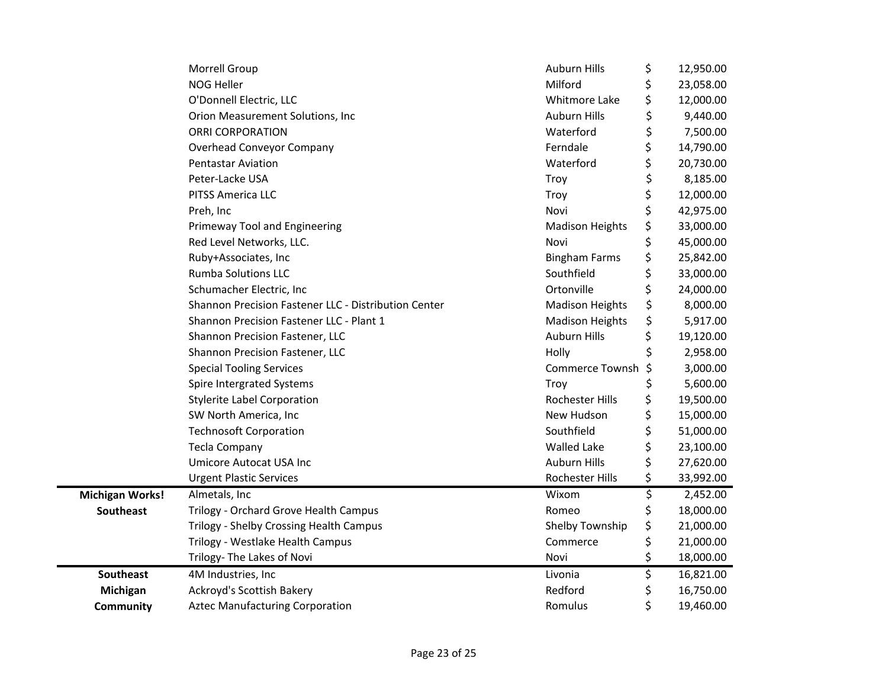|                        | Morrell Group                                        | <b>Auburn Hills</b>    | \$ | 12,950.00 |
|------------------------|------------------------------------------------------|------------------------|----|-----------|
|                        | NOG Heller                                           | Milford                | \$ | 23,058.00 |
|                        | O'Donnell Electric, LLC                              | Whitmore Lake          | \$ | 12,000.00 |
|                        | Orion Measurement Solutions, Inc                     | <b>Auburn Hills</b>    | \$ | 9,440.00  |
|                        | <b>ORRI CORPORATION</b>                              | Waterford              | \$ | 7,500.00  |
|                        | <b>Overhead Conveyor Company</b>                     | Ferndale               | \$ | 14,790.00 |
|                        | <b>Pentastar Aviation</b>                            | Waterford              | \$ | 20,730.00 |
|                        | Peter-Lacke USA                                      | Troy                   | \$ | 8,185.00  |
|                        | PITSS America LLC                                    | Troy                   | \$ | 12,000.00 |
|                        | Preh, Inc                                            | Novi                   | \$ | 42,975.00 |
|                        | Primeway Tool and Engineering                        | <b>Madison Heights</b> | \$ | 33,000.00 |
|                        | Red Level Networks, LLC.                             | Novi                   | \$ | 45,000.00 |
|                        | Ruby+Associates, Inc                                 | <b>Bingham Farms</b>   | \$ | 25,842.00 |
|                        | <b>Rumba Solutions LLC</b>                           | Southfield             | \$ | 33,000.00 |
|                        | Schumacher Electric, Inc                             | Ortonville             | \$ | 24,000.00 |
|                        | Shannon Precision Fastener LLC - Distribution Center | <b>Madison Heights</b> | \$ | 8,000.00  |
|                        | Shannon Precision Fastener LLC - Plant 1             | <b>Madison Heights</b> | \$ | 5,917.00  |
|                        | Shannon Precision Fastener, LLC                      | <b>Auburn Hills</b>    | \$ | 19,120.00 |
|                        | Shannon Precision Fastener, LLC                      | Holly                  | Ś  | 2,958.00  |
|                        | <b>Special Tooling Services</b>                      | <b>Commerce Townsh</b> | \$ | 3,000.00  |
|                        | Spire Intergrated Systems                            | Troy                   | \$ | 5,600.00  |
|                        | <b>Stylerite Label Corporation</b>                   | Rochester Hills        | \$ | 19,500.00 |
|                        | SW North America, Inc                                | New Hudson             | \$ | 15,000.00 |
|                        | <b>Technosoft Corporation</b>                        | Southfield             | \$ | 51,000.00 |
|                        | <b>Tecla Company</b>                                 | <b>Walled Lake</b>     | \$ | 23,100.00 |
|                        | <b>Umicore Autocat USA Inc</b>                       | <b>Auburn Hills</b>    | \$ | 27,620.00 |
|                        | <b>Urgent Plastic Services</b>                       | Rochester Hills        | \$ | 33,992.00 |
| <b>Michigan Works!</b> | Almetals, Inc                                        | Wixom                  | \$ | 2,452.00  |
| <b>Southeast</b>       | Trilogy - Orchard Grove Health Campus                | Romeo                  | \$ | 18,000.00 |
|                        | Trilogy - Shelby Crossing Health Campus              | Shelby Township        | \$ | 21,000.00 |
|                        | Trilogy - Westlake Health Campus                     | Commerce               | \$ | 21,000.00 |
|                        | Trilogy- The Lakes of Novi                           | Novi                   | \$ | 18,000.00 |
| <b>Southeast</b>       | 4M Industries, Inc                                   | Livonia                | \$ | 16,821.00 |
| Michigan               | Ackroyd's Scottish Bakery                            | Redford                | \$ | 16,750.00 |
| Community              | <b>Aztec Manufacturing Corporation</b>               | Romulus                | \$ | 19,460.00 |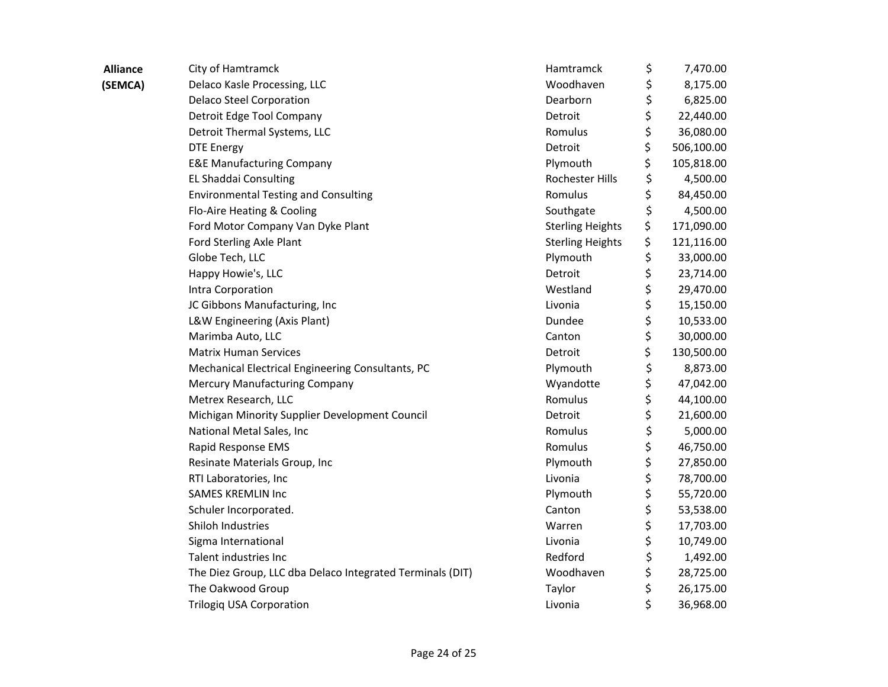| <b>Alliance</b> | City of Hamtramck                                         | Hamtramck               | \$<br>7,470.00   |
|-----------------|-----------------------------------------------------------|-------------------------|------------------|
| (SEMCA)         | Delaco Kasle Processing, LLC                              | Woodhaven               | \$<br>8,175.00   |
|                 | <b>Delaco Steel Corporation</b>                           | Dearborn                | \$<br>6,825.00   |
|                 | Detroit Edge Tool Company                                 | Detroit                 | \$<br>22,440.00  |
|                 | Detroit Thermal Systems, LLC                              | Romulus                 | \$<br>36,080.00  |
|                 | <b>DTE Energy</b>                                         | Detroit                 | \$<br>506,100.00 |
|                 | <b>E&amp;E Manufacturing Company</b>                      | Plymouth                | \$<br>105,818.00 |
|                 | EL Shaddai Consulting                                     | Rochester Hills         | \$<br>4,500.00   |
|                 | <b>Environmental Testing and Consulting</b>               | Romulus                 | \$<br>84,450.00  |
|                 | Flo-Aire Heating & Cooling                                | Southgate               | \$<br>4,500.00   |
|                 | Ford Motor Company Van Dyke Plant                         | <b>Sterling Heights</b> | \$<br>171,090.00 |
|                 | Ford Sterling Axle Plant                                  | <b>Sterling Heights</b> | \$<br>121,116.00 |
|                 | Globe Tech, LLC                                           | Plymouth                | \$<br>33,000.00  |
|                 | Happy Howie's, LLC                                        | Detroit                 | \$<br>23,714.00  |
|                 | Intra Corporation                                         | Westland                | \$<br>29,470.00  |
|                 | JC Gibbons Manufacturing, Inc                             | Livonia                 | \$<br>15,150.00  |
|                 | L&W Engineering (Axis Plant)                              | Dundee                  | \$<br>10,533.00  |
|                 | Marimba Auto, LLC                                         | Canton                  | \$<br>30,000.00  |
|                 | <b>Matrix Human Services</b>                              | Detroit                 | \$<br>130,500.00 |
|                 | Mechanical Electrical Engineering Consultants, PC         | Plymouth                | \$<br>8,873.00   |
|                 | <b>Mercury Manufacturing Company</b>                      | Wyandotte               | \$<br>47,042.00  |
|                 | Metrex Research, LLC                                      | Romulus                 | \$<br>44,100.00  |
|                 | Michigan Minority Supplier Development Council            | Detroit                 | \$<br>21,600.00  |
|                 | National Metal Sales, Inc                                 | Romulus                 | \$<br>5,000.00   |
|                 | Rapid Response EMS                                        | Romulus                 | \$<br>46,750.00  |
|                 | Resinate Materials Group, Inc                             | Plymouth                | \$<br>27,850.00  |
|                 | RTI Laboratories, Inc                                     | Livonia                 | \$<br>78,700.00  |
|                 | <b>SAMES KREMLIN Inc</b>                                  | Plymouth                | \$<br>55,720.00  |
|                 | Schuler Incorporated.                                     | Canton                  | \$<br>53,538.00  |
|                 | Shiloh Industries                                         | Warren                  | \$<br>17,703.00  |
|                 | Sigma International                                       | Livonia                 | \$<br>10,749.00  |
|                 | Talent industries Inc                                     | Redford                 | \$<br>1,492.00   |
|                 | The Diez Group, LLC dba Delaco Integrated Terminals (DIT) | Woodhaven               | \$<br>28,725.00  |
|                 | The Oakwood Group                                         | Taylor                  | \$<br>26,175.00  |
|                 | <b>Trilogiq USA Corporation</b>                           | Livonia                 | \$<br>36,968.00  |